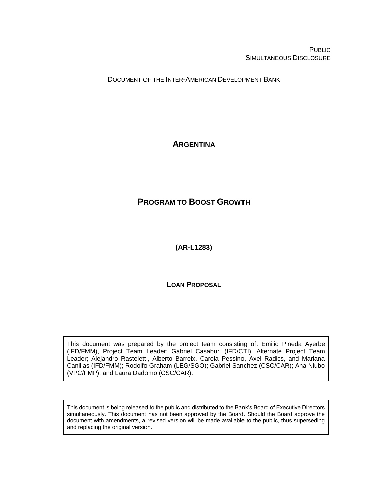PUBLIC SIMULTANEOUS DISCLOSURE

DOCUMENT OF THE INTER-AMERICAN DEVELOPMENT BANK

## <span id="page-0-0"></span>**ARGENTINA**

# <span id="page-0-1"></span>**PROGRAM TO BOOST GROWTH**

<span id="page-0-2"></span>**(AR-L1283)**

**LOAN PROPOSAL**

This document was prepared by the project team consisting of: Emilio Pineda Ayerbe (IFD/FMM), Project Team Leader; Gabriel Casaburi (IFD/CTI), Alternate Project Team Leader; Alejandro Rasteletti, Alberto Barreix, Carola Pessino, Axel Radics, and Mariana Canillas (IFD/FMM); Rodolfo Graham (LEG/SGO); Gabriel Sanchez (CSC/CAR); Ana Niubo (VPC/FMP); and Laura Dadomo (CSC/CAR).

This document is being released to the public and distributed to the Bank's Board of Executive Directors simultaneously. This document has not been approved by the Board. Should the Board approve the document with amendments, a revised version will be made available to the public, thus superseding and replacing the original version.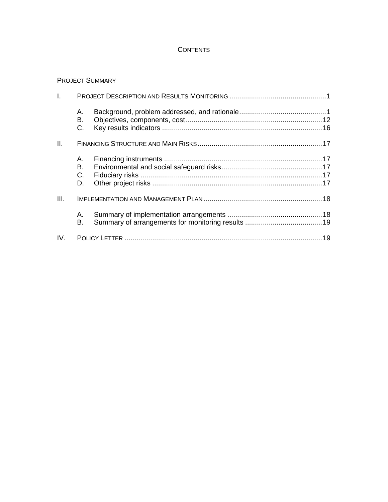#### **CONTENTS**

#### PROJECT SUMMARY

| T.   |                      |  |  |
|------|----------------------|--|--|
|      | А.<br>В.<br>C.       |  |  |
| Ш.   |                      |  |  |
|      | А.<br>В.<br>C.<br>D. |  |  |
| III. |                      |  |  |
|      | А.<br>В.             |  |  |
| IV.  |                      |  |  |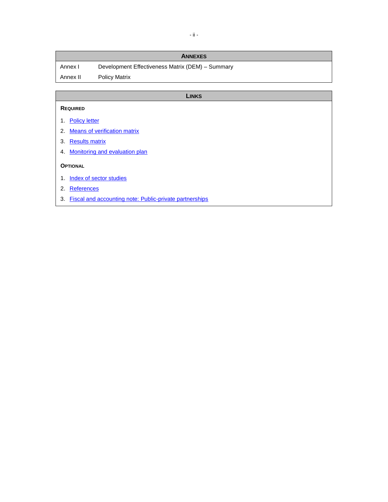| <b>ANNEXES</b>  |                                                  |  |  |
|-----------------|--------------------------------------------------|--|--|
| Annex I         | Development Effectiveness Matrix (DEM) - Summary |  |  |
| Annex II        | <b>Policy Matrix</b>                             |  |  |
|                 |                                                  |  |  |
| <b>LINKS</b>    |                                                  |  |  |
| <b>REQUIRED</b> |                                                  |  |  |

- 1. [Policy letter](https://idbg.sharepoint.com/teams/ez-SEC/Registered%20Documents/RI-Reg-PR/RIRegPREnglish/Policy%20letter%20AR-L1283.pdf)
- 2. [Means of verification matrix](https://idbg.sharepoint.com/teams/EZ-AR-LON/AR-L1283/_layouts/15/DocIdRedir.aspx?ID=EZSHARE-1899350182-22)
- 3. [Results matrix](https://idbg.sharepoint.com/teams/EZ-AR-LON/AR-L1283/_layouts/15/DocIdRedir.aspx?ID=EZSHARE-1899350182-23)
- 4. [Monitoring and evaluation plan](https://idbg.sharepoint.com/teams/EZ-AR-LON/AR-L1283/_layouts/15/DocIdRedir.aspx?ID=EZSHARE-1899350182-19)

#### **OPTIONAL**

- 1. [Index of sector studies](https://idbg.sharepoint.com/teams/EZ-AR-LON/AR-L1283/_layouts/15/DocIdRedir.aspx?ID=EZSHARE-1899350182-21)
- 2. [References](https://idbg.sharepoint.com/teams/EZ-AR-LON/AR-L1283/_layouts/15/DocIdRedir.aspx?ID=EZSHARE-1899350182-29)
- 3. [Fiscal and accounting note: Public-private partnerships](http://idbdocs.iadb.org/wsdocs/getDocument.aspx?DOCNUM=EZSHARE-1899350182-35)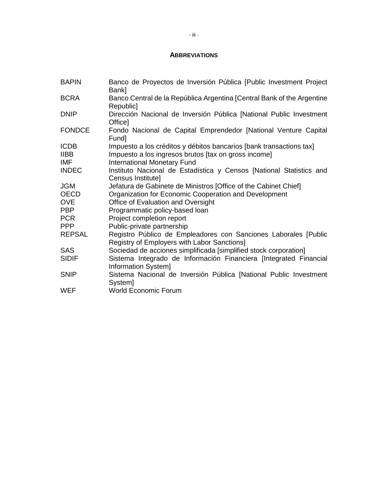#### **ABBREVIATIONS**

| <b>BAPIN</b>               | Banco de Proyectos de Inversión Pública [Public Investment Project<br>Bank]                                                 |
|----------------------------|-----------------------------------------------------------------------------------------------------------------------------|
| <b>BCRA</b>                | Banco Central de la República Argentina [Central Bank of the Argentine<br>Republic1                                         |
| <b>DNIP</b>                | Dirección Nacional de Inversión Pública [National Public Investment<br>Office]                                              |
| <b>FONDCE</b>              | Fondo Nacional de Capital Emprendedor [National Venture Capital<br>Fund]                                                    |
| <b>ICDB</b><br><b>IIBB</b> | Impuesto a los créditos y débitos bancarios [bank transactions tax]<br>Impuesto a los ingresos brutos [tax on gross income] |
| IMF.                       | International Monetary Fund                                                                                                 |
| <b>INDEC</b>               | Instituto Nacional de Estadística y Censos [National Statistics and<br>Census Institute]                                    |
| JGM                        | Jefatura de Gabinete de Ministros [Office of the Cabinet Chief]                                                             |
| <b>OECD</b>                | Organization for Economic Cooperation and Development                                                                       |
| <b>OVE</b>                 | Office of Evaluation and Oversight                                                                                          |
| <b>PBP</b>                 | Programmatic policy-based loan                                                                                              |
| <b>PCR</b>                 | Project completion report                                                                                                   |
| <b>PPP</b>                 | Public-private partnership                                                                                                  |
| <b>REPSAL</b>              | Registro Público de Empleadores con Sanciones Laborales [Public<br>Registry of Employers with Labor Sanctions]              |
| <b>SAS</b>                 | Sociedad de acciones simplificada [simplified stock corporation]                                                            |
| <b>SIDIF</b>               | Sistema Integrado de Información Financiera [Integrated Financial<br>Information System]                                    |
| <b>SNIP</b>                | Sistema Nacional de Inversión Pública [National Public Investment<br>System]                                                |
| <b>WEF</b>                 | <b>World Economic Forum</b>                                                                                                 |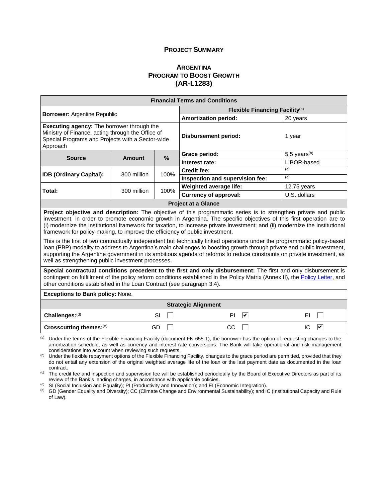#### **PROJECT SUMMARY**

#### **A[RGENTINA](#page-0-0) P[ROGRAM TO](#page-0-1) BOOST GROWTH [\(AR-L1283\)](#page-0-2)**

| <b>Financial Terms and Conditions</b>                                                                                                                                                                                                                                                                                                                                                                                                                                                                                                                                                                                                                                                                                                                                                                                                                                                           |               |                             |                                                                                                                                            |                 |  |
|-------------------------------------------------------------------------------------------------------------------------------------------------------------------------------------------------------------------------------------------------------------------------------------------------------------------------------------------------------------------------------------------------------------------------------------------------------------------------------------------------------------------------------------------------------------------------------------------------------------------------------------------------------------------------------------------------------------------------------------------------------------------------------------------------------------------------------------------------------------------------------------------------|---------------|-----------------------------|--------------------------------------------------------------------------------------------------------------------------------------------|-----------------|--|
| Flexible Financing Facility <sup>(a)</sup>                                                                                                                                                                                                                                                                                                                                                                                                                                                                                                                                                                                                                                                                                                                                                                                                                                                      |               |                             |                                                                                                                                            |                 |  |
| <b>Borrower: Argentine Republic</b>                                                                                                                                                                                                                                                                                                                                                                                                                                                                                                                                                                                                                                                                                                                                                                                                                                                             |               |                             | <b>Amortization period:</b>                                                                                                                | 20 years        |  |
| Executing agency: The borrower through the<br>Ministry of Finance, acting through the Office of<br>Special Programs and Projects with a Sector-wide<br>Approach                                                                                                                                                                                                                                                                                                                                                                                                                                                                                                                                                                                                                                                                                                                                 |               | <b>Disbursement period:</b> | 1 year                                                                                                                                     |                 |  |
| <b>Source</b>                                                                                                                                                                                                                                                                                                                                                                                                                                                                                                                                                                                                                                                                                                                                                                                                                                                                                   | <b>Amount</b> | $\%$                        | Grace period:                                                                                                                              | 5.5 years $(b)$ |  |
|                                                                                                                                                                                                                                                                                                                                                                                                                                                                                                                                                                                                                                                                                                                                                                                                                                                                                                 |               |                             | Interest rate:                                                                                                                             | LIBOR-based     |  |
| <b>IDB (Ordinary Capital):</b>                                                                                                                                                                                                                                                                                                                                                                                                                                                                                                                                                                                                                                                                                                                                                                                                                                                                  | 300 million   | 100%                        | <b>Credit fee:</b>                                                                                                                         | (c)             |  |
|                                                                                                                                                                                                                                                                                                                                                                                                                                                                                                                                                                                                                                                                                                                                                                                                                                                                                                 |               |                             | Inspection and supervision fee:                                                                                                            | (c)             |  |
| Total:                                                                                                                                                                                                                                                                                                                                                                                                                                                                                                                                                                                                                                                                                                                                                                                                                                                                                          | 300 million   | 100%                        | Weighted average life:                                                                                                                     | 12.75 years     |  |
|                                                                                                                                                                                                                                                                                                                                                                                                                                                                                                                                                                                                                                                                                                                                                                                                                                                                                                 |               |                             | <b>Currency of approval:</b>                                                                                                               | U.S. dollars    |  |
|                                                                                                                                                                                                                                                                                                                                                                                                                                                                                                                                                                                                                                                                                                                                                                                                                                                                                                 |               |                             | <b>Project at a Glance</b>                                                                                                                 |                 |  |
| Project objective and description: The objective of this programmatic series is to strengthen private and public<br>investment, in order to promote economic growth in Argentina. The specific objectives of this first operation are to<br>(i) modernize the institutional framework for taxation, to increase private investment; and (ii) modernize the institutional<br>framework for policy-making, to improve the efficiency of public investment.<br>This is the first of two contractually independent but technically linked operations under the programmatic policy-based<br>loan (PBP) modality to address to Argentina's main challenges to boosting growth through private and public investment,<br>supporting the Argentine government in its ambitious agenda of reforms to reduce constraints on private investment, as<br>well as strengthening public investment processes. |               |                             |                                                                                                                                            |                 |  |
| Special contractual conditions precedent to the first and only disbursement: The first and only disbursement is<br>contingent on fulfillment of the policy reform conditions established in the Policy Matrix (Annex II), the Policy Letter, and<br>other conditions established in the Loan Contract (see paragraph 3.4).                                                                                                                                                                                                                                                                                                                                                                                                                                                                                                                                                                      |               |                             |                                                                                                                                            |                 |  |
| <b>Exceptions to Bank policy: None.</b>                                                                                                                                                                                                                                                                                                                                                                                                                                                                                                                                                                                                                                                                                                                                                                                                                                                         |               |                             |                                                                                                                                            |                 |  |
| <b>Strategic Alignment</b>                                                                                                                                                                                                                                                                                                                                                                                                                                                                                                                                                                                                                                                                                                                                                                                                                                                                      |               |                             |                                                                                                                                            |                 |  |
| Challenges:(d)                                                                                                                                                                                                                                                                                                                                                                                                                                                                                                                                                                                                                                                                                                                                                                                                                                                                                  |               | SI                          | ⊽<br>PI.                                                                                                                                   | ΕI              |  |
| IC.<br>⊽<br>Crosscutting themes:(e)<br>CC<br>GD                                                                                                                                                                                                                                                                                                                                                                                                                                                                                                                                                                                                                                                                                                                                                                                                                                                 |               |                             |                                                                                                                                            |                 |  |
|                                                                                                                                                                                                                                                                                                                                                                                                                                                                                                                                                                                                                                                                                                                                                                                                                                                                                                 |               |                             | $^{(a)}$ I Inder the terms of the Flexible Financing Facility (document FN-655-1) the borrower has the option of requesting changes to the |                 |  |

<sup>(a)</sup> Under the terms of the Flexible Financing Facility (document FN-655-1), the borrower has the option of requesting changes to the amortization schedule, as well as currency and interest rate conversions. The Bank will take operational and risk management considerations into account when reviewing such requests.

(b) Under the flexible repayment options of the Flexible Financing Facility, changes to the grace period are permitted, provided that they do not entail any extension of the original weighted average life of the loan or the last payment date as documented in the loan contract.

(c) The credit fee and inspection and supervision fee will be established periodically by the Board of Executive Directors as part of its review of the Bank's lending charges, in accordance with applicable policies.

<sup>(d)</sup> SI (Social Inclusion and Equality); PI (Productivity and Innovation); and EI (Economic Integration).

<sup>(e)</sup> GD (Gender Equality and Diversity); CC (Climate Change and Environmental Sustainability); and IC (Institutional Capacity and Rule of Law).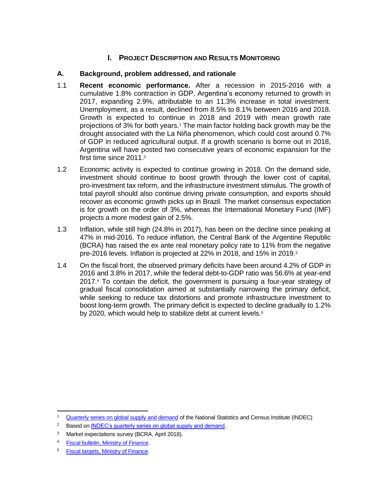## **I. PROJECT DESCRIPTION AND RESULTS MONITORING**

### **A. Background, problem addressed, and rationale**

- 1.1 **Recent economic performance.** After a recession in 2015-2016 with a cumulative 1.8% contraction in GDP, Argentina's economy returned to growth in 2017, expanding 2.9%, attributable to an 11.3% increase in total investment. Unemployment, as a result, declined from 8.5% to 8.1% between 2016 and 2018. Growth is expected to continue in 2018 and 2019 with mean growth rate projections of 3% for both years.<sup>1</sup> The main factor holding back growth may be the drought associated with the La Niña phenomenon, which could cost around 0.7% of GDP in reduced agricultural output. If a growth scenario is borne out in 2018, Argentina will have posted two consecutive years of economic expansion for the first time since 2011.<sup>2</sup>
- 1.2 Economic activity is expected to continue growing in 2018. On the demand side, investment should continue to boost growth through the lower cost of capital, pro-investment tax reform, and the infrastructure investment stimulus. The growth of total payroll should also continue driving private consumption, and exports should recover as economic growth picks up in Brazil. The market consensus expectation is for growth on the order of 3%, whereas the International Monetary Fund (IMF) projects a more modest gain of 2.5%.
- 1.3 Inflation, while still high (24.8% in 2017), has been on the decline since peaking at 47% in mid-2016. To reduce inflation, the Central Bank of the Argentine Republic (BCRA) has raised the ex ante real monetary policy rate to 11% from the negative pre-2016 levels. Inflation is projected at 22% in 2018, and 15% in 2019.<sup>3</sup>
- 1.4 On the fiscal front, the observed primary deficits have been around 4.2% of GDP in 2016 and 3.8% in 2017, while the federal debt-to-GDP ratio was 56.6% at year-end 2017.<sup>4</sup> To contain the deficit, the government is pursuing a four-year strategy of gradual fiscal consolidation aimed at substantially narrowing the primary deficit, while seeking to reduce tax distortions and promote infrastructure investment to boost long-term growth. The primary deficit is expected to decline gradually to 1.2% by 2020, which would help to stabilize debt at current levels.<sup>5</sup>

<sup>&</sup>lt;sup>1</sup> [Quarterly series on global supply and demand](http://www.indec.gob.ar/) of the National Statistics and Census Institute (INDEC)

<sup>&</sup>lt;sup>2</sup> Based on **INDEC's quarterly series on global supply and demand.** 

<sup>&</sup>lt;sup>3</sup> Market expectations survey (BCRA, April 2018).

<sup>4</sup> [Fiscal bulletin, Ministry of Finance.](https://www.minhacienda.gob.ar/onp/ejecucion/2017#bf)

<sup>5</sup> [Fiscal targets, Ministry of Finance.](https://www.minhacienda.gob.ar/secretarias/hacienda/metas-fiscales/)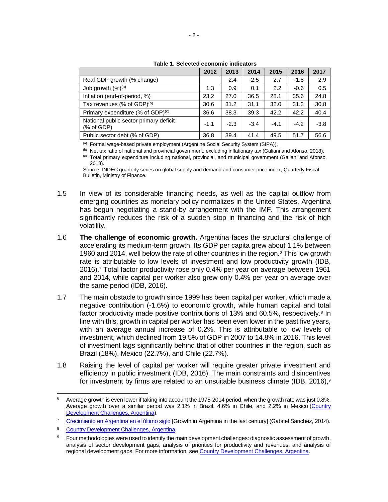|                                                      | 2012   | 2013   | 2014   | 2015   | 2016   | 2017   |
|------------------------------------------------------|--------|--------|--------|--------|--------|--------|
| Real GDP growth (% change)                           |        | 2.4    | $-2.5$ | 2.7    | $-1.8$ | 2.9    |
| Job growth $(\%)^{(a)}$                              | 1.3    | 0.9    | 0.1    | 2.2    | $-0.6$ | 0.5    |
| Inflation (end-of-period, %)                         | 23.2   | 27.0   | 36.5   | 28.1   | 35.6   | 24.8   |
| Tax revenues (% of GDP)(b)                           | 30.6   | 31.2   | 31.1   | 32.0   | 31.3   | 30.8   |
| Primary expenditure (% of GDP) $(c)$                 | 36.6   | 38.3   | 39.3   | 42.2   | 42.2   | 40.4   |
| National public sector primary deficit<br>(% of GDP) | $-1.1$ | $-2.3$ | $-3.4$ | $-4.1$ | $-4.2$ | $-3.8$ |
| Public sector debt (% of GDP)                        | 36.8   | 39.4   | 41.4   | 49.5   | 51.7   | 56.6   |

| Table 1. Selected economic indicators |  |  |
|---------------------------------------|--|--|
|---------------------------------------|--|--|

(a) Formal wage-based private employment (Argentine Social Security System (SIPA)).

(b) Net tax ratio of national and provincial government, excluding inflationary tax (Galiani and Afonso, 2018). (c) Total primary expenditure including national, provincial, and municipal government (Galiani and Afonso, 2018).

Source: INDEC quarterly series on global supply and demand and consumer price index, Quarterly Fiscal Bulletin, Ministry of Finance.

- 1.5 In view of its considerable financing needs, as well as the capital outflow from emerging countries as monetary policy normalizes in the United States, Argentina has begun negotiating a stand-by arrangement with the IMF. This arrangement significantly reduces the risk of a sudden stop in financing and the risk of high volatility.
- 1.6 **The challenge of economic growth.** Argentina faces the structural challenge of accelerating its medium-term growth. Its GDP per capita grew about 1.1% between 1960 and 2014, well below the rate of other countries in the region.<sup>6</sup> This low growth rate is attributable to low levels of investment and low productivity growth (IDB, 2016).<sup>7</sup> Total factor productivity rose only 0.4% per year on average between 1961 and 2014, while capital per worker also grew only 0.4% per year on average over the same period (IDB, 2016).
- 1.7 The main obstacle to growth since 1999 has been capital per worker, which made a negative contribution (-1.6%) to economic growth, while human capital and total factor productivity made positive contributions of 13% and 60.5%, respectively.<sup>8</sup> In line with this, growth in capital per worker has been even lower in the past five years, with an average annual increase of 0.2%. This is attributable to low levels of investment, which declined from 19.5% of GDP in 2007 to 14.8% in 2016. This level of investment lags significantly behind that of other countries in the region, such as Brazil (18%), Mexico (22.7%), and Chile (22.7%).
- 1.8 Raising the level of capital per worker will require greater private investment and efficiency in public investment (IDB, 2016). The main constraints and disincentives for investment by firms are related to an unsuitable business climate (IDB, 2016).<sup>9</sup>

  $6$  Average growth is even lower if taking into account the 1975-2014 period, when the growth rate was just 0.8%. Average growth over a similar period was 2.1% in Brazil, 4.6% in Chile, and 2.2% in Mexico [\(Country](http://idbdocs.iadb.org/wsdocs/getdocument.aspx?docnum=40653520)  [Development Challenges, Argentina\)](http://idbdocs.iadb.org/wsdocs/getdocument.aspx?docnum=40653520).

<sup>&</sup>lt;sup>7</sup> [Crecimiento en Argentina en el último siglo](https://idbg.sharepoint.com/teams/EZ-AR-LON/AR-L1283/_layouts/15/DocIdRedir.aspx?ID=EZSHARE-1899350182-15) [Growth in Argentina in the last century] (Gabriel Sanchez, 2014).

<sup>8</sup> [Country Development Challenges, Argentina.](http://idbdocs.iadb.org/wsdocs/getdocument.aspx?docnum=40653520)

Four methodologies were used to identify the main development challenges: diagnostic assessment of growth, analysis of sector development gaps, analysis of priorities for productivity and revenues, and analysis of regional development gaps. For more information, see [Country Development Challenges, Argentina.](http://idbdocs.iadb.org/wsdocs/getdocument.aspx?docnum=40653520)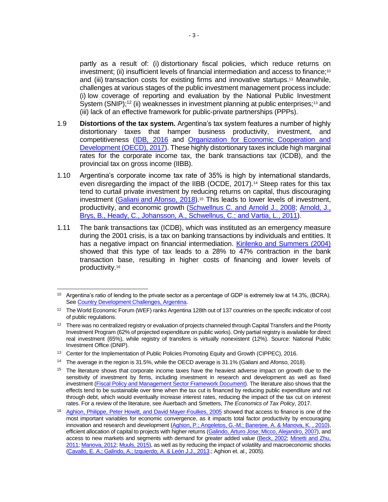partly as a result of: (i) distortionary fiscal policies, which reduce returns on investment; (ii) insufficient levels of financial intermediation and access to finance;<sup>10</sup> and (iii) transaction costs for existing firms and innovative startups.<sup>11</sup> Meanwhile, challenges at various stages of the public investment management process include: (i) low coverage of reporting and evaluation by the National Public Investment System (SNIP);<sup>12</sup> (ii) weaknesses in investment planning at public enterprises;<sup>13</sup> and (iii) lack of an effective framework for public-private partnerships (PPPs).

- 1.9 **Distortions of the tax system.** Argentina's tax system features a number of highly distortionary taxes that hamper business productivity, investment, and competitiveness [\(IDB, 2016](http://idbdocs.iadb.org/wsdocs/getdocument.aspx?docnum=40653520) and [Organization for Economic Cooperation and](https://read.oecd-ilibrary.org/economics/oecd-economic-surveys-argentina-2017_eco_surveys-arg-2017-en#page1)  [Development \(OECD\), 2017\)](https://read.oecd-ilibrary.org/economics/oecd-economic-surveys-argentina-2017_eco_surveys-arg-2017-en#page1). These highly distortionary taxes include high marginal rates for the corporate income tax, the bank transactions tax (ICDB), and the provincial tax on gross income (IIBB).
- 1.10 Argentina's corporate income tax rate of 35% is high by international standards, even disregarding the impact of the IIBB (OCDE, 2017).<sup>14</sup> Steep rates for this tax tend to curtail private investment by reducing returns on capital, thus discouraging investment (Galiani and [Afonso, 2018\)](http://focoeconomico.org/2018/01/17/impuestos-en-argentina/).<sup>15</sup> This leads to lower levels of investment, productivity, and economic growth [\(Schwellnus C. and Arnold J., 2008;](https://ideas.repec.org/p/cii/cepidt/2008-19.html) Arnold, J., [Brys, B., Heady, C., Johansson, A., Schwellnus, C.; and Vartia,](https://onlinelibrary.wiley.com/doi/abs/10.1111/j.1468-0297.2010.02415.x) L., 2011).
- 1.11 The bank transactions tax (ICDB), which was instituted as an emergency measure during the 2001 crisis, is a tax on banking transactions by individuals and entities. It has a negative impact on financial intermediation. [Kirilenko and Summers \(2004\)](http://citeseerx.ist.psu.edu/viewdoc/download?doi=10.1.1.13.7799&rep=rep1&type=pdf) showed that this type of tax leads to a 28% to  $47%$  contraction in the bank transaction base, resulting in higher costs of financing and lower levels of productivity.<sup>16</sup>

<sup>&</sup>lt;sup>10</sup> Argentina's ratio of lending to the private sector as a percentage of GDP is extremely low at 14.3%, (BCRA). Se[e Country Development Challenges, Argentina.](http://idbdocs.iadb.org/wsdocs/getdocument.aspx?docnum=40653520)

<sup>11</sup> The World Economic Forum (WEF) ranks Argentina 128th out of 137 countries on the specific indicator of cost of public regulations.

 $12$  There was no centralized registry or evaluation of projects channeled through Capital Transfers and the Priority Investment Program (62% of projected expenditure on public works). Only partial registry is available for direct real investment (65%), while registry of transfers is virtually nonexistent (12%). Source: National Public Investment Office (DNIP).

<sup>&</sup>lt;sup>13</sup> Center for the Implementation of Public Policies Promoting Equity and Growth (CIPPEC), 2016.

<sup>&</sup>lt;sup>14</sup> The average in the region is 31.5%, while the OECD average is 31.1% (Galiani and Afonso, 2018).

<sup>&</sup>lt;sup>15</sup> The literature shows that corporate income taxes have the heaviest adverse impact on growth due to the sensitivity of investment by firms, including investment in research and development as well as fixed investment [\(Fiscal Policy and Management Sector Framework Document\)](http://idbdocs.iadb.org/wsdocs/getDocument.aspx?DOCNUM=40051820). The literature also shows that the effects tend to be sustainable over time when the tax cut is financed by reducing public expenditure and not through debt, which would eventually increase interest rates, reducing the impact of the tax cut on interest rates. For a review of the literature, see Auerbach and Smetters, *The Economics of Tax Policy*, 2017.

<sup>&</sup>lt;sup>16</sup> [Aghion, Philippe, Peter Howitt, and David Mayer-Foulkes, 2005](http://www.nber.org/papers/w10358.pdf) showed that access to finance is one of the most important variables for economic convergence, as it impacts total factor productivity by encouraging innovation and research and development (Aghion, P.; Angeletos, G.-M.; Banerjee, A. & Manova, K., 2010), efficient allocation of capital to projects with higher returns [\(Galindo, Arturo Jose; Micco, Alejandro, 2007\)](http://documents.worldbank.org/curated/en/592041468180900169/Creditor-protection-and-credit-response-to-shocks), and access to new markets and segments with demand for greater added value [\(Beck, 2002;](http://documents.worldbank.org/curated/en/140421468761663814/Financial-development-and-international-trade-is-there-a-link) [Minetti and Zhu,](https://msu.edu/~zhuc/CreditRationing.pdf)  [2011;](https://msu.edu/~zhuc/CreditRationing.pdf) [Manova, 2012;](https://academic.oup.com/restud/article-abstract/80/2/711/1538317) [Muuls, 2015\)](https://www.sciencedirect.com/science/article/pii/S0022199614001482), as well as by reducing the impact of volatility and macroeconomic shocks [\(Cavallo, E. A.; Galindo, A.; Izquierdo, A. & León J.J., 2013.;](https://www.sciencedirect.com/science/article/pii/S0261560612001763) Aghion et. al., 2005).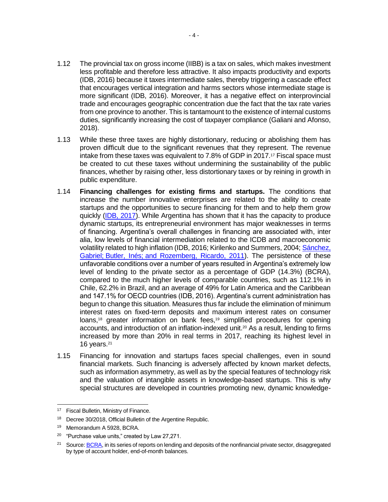- 1.12 The provincial tax on gross income (IIBB) is a tax on sales, which makes investment less profitable and therefore less attractive. It also impacts productivity and exports (IDB, 2016) because it taxes intermediate sales, thereby triggering a cascade effect that encourages vertical integration and harms sectors whose intermediate stage is more significant (IDB, 2016). Moreover, it has a negative effect on interprovincial trade and encourages geographic concentration due the fact that the tax rate varies from one province to another. This is tantamount to the existence of internal customs duties, significantly increasing the cost of taxpayer compliance (Galiani and Afonso, 2018).
- 1.13 While these three taxes are highly distortionary, reducing or abolishing them has proven difficult due to the significant revenues that they represent. The revenue intake from these taxes was equivalent to 7.8% of GDP in 2017.<sup>17</sup> Fiscal space must be created to cut these taxes without undermining the sustainability of the public finances, whether by raising other, less distortionary taxes or by reining in growth in public expenditure.
- 1.14 **Financing challenges for existing firms and startups.** The conditions that increase the number innovative enterprises are related to the ability to create startups and the opportunities to secure financing for them and to help them grow quickly [\(IDB, 2017\)](http://www.iadb.org/document.cfm?id=EZSHARE-1612649889-13). While Argentina has shown that it has the capacity to produce dynamic startups, its entrepreneurial environment has major weaknesses in terms of financing. Argentina's overall challenges in financing are associated with, inter alia, low levels of financial intermediation related to the ICDB and macroeconomic volatility related to high inflation (IDB, 2016; Kirilenko and Summers, 2004; Sánchez, Gabriel; Butler, Inés; [and Rozemberg, Ricardo, 2011\)](https://publications.iadb.org/handle/11319/3095). The persistence of these unfavorable conditions over a number of years resulted in Argentina's extremely low level of lending to the private sector as a percentage of GDP (14.3%) (BCRA), compared to the much higher levels of comparable countries, such as 112.1% in Chile, 62.2% in Brazil, and an average of 49% for Latin America and the Caribbean and 147.1% for OECD countries (IDB, 2016). Argentina's current administration has begun to change this situation. Measures thus far include the elimination of minimum interest rates on fixed-term deposits and maximum interest rates on consumer loans,<sup>18</sup> greater information on bank fees,<sup>19</sup> simplified procedures for opening accounts, and introduction of an inflation-indexed unit.<sup>20</sup> As a result, lending to firms increased by more than 20% in real terms in 2017, reaching its highest level in 16 years.<sup>21</sup>
- 1.15 Financing for innovation and startups faces special challenges, even in sound financial markets. Such financing is adversely affected by known market defects, such as information asymmetry, as well as by the special features of technology risk and the valuation of intangible assets in knowledge-based startups. This is why special structures are developed in countries promoting new, dynamic knowledge-

<sup>&</sup>lt;sup>17</sup> Fiscal Bulletin, Ministry of Finance.

<sup>18</sup> Decree 30/2018, Official Bulletin of the Argentine Republic.

<sup>19</sup> Memorandum A 5928, BCRA.

<sup>20</sup> "Purchase value units," created by Law 27,271.

<sup>&</sup>lt;sup>21</sup> Source[: BCRA,](http://www.bcra.gob.ar/) in its series of reports on lending and deposits of the nonfinancial private sector, disaggregated by type of account holder, end-of-month balances.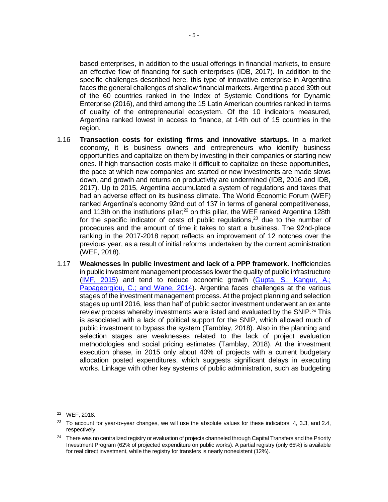based enterprises, in addition to the usual offerings in financial markets, to ensure an effective flow of financing for such enterprises (IDB, 2017). In addition to the specific challenges described here, this type of innovative enterprise in Argentina faces the general challenges of shallow financial markets. Argentina placed 39th out of the 60 countries ranked in the Index of Systemic Conditions for Dynamic Enterprise (2016), and third among the 15 Latin American countries ranked in terms of quality of the entrepreneurial ecosystem. Of the 10 indicators measured, Argentina ranked lowest in access to finance, at 14th out of 15 countries in the region.

- 1.16 **Transaction costs for existing firms and innovative startups.** In a market economy, it is business owners and entrepreneurs who identify business opportunities and capitalize on them by investing in their companies or starting new ones. If high transaction costs make it difficult to capitalize on these opportunities, the pace at which new companies are started or new investments are made slows down, and growth and returns on productivity are undermined (IDB, 2016 and IDB, 2017). Up to 2015, Argentina accumulated a system of regulations and taxes that had an adverse effect on its business climate. The World Economic Forum (WEF) ranked Argentina's economy 92nd out of 137 in terms of general competitiveness, and 113th on the institutions pillar; $^{22}$  on this pillar, the WEF ranked Argentina 128th for the specific indicator of costs of public regulations, $23$  due to the number of procedures and the amount of time it takes to start a business. The 92nd-place ranking in the 2017-2018 report reflects an improvement of 12 notches over the previous year, as a result of initial reforms undertaken by the current administration (WEF, 2018).
- 1.17 **Weaknesses in public investment and lack of a PPP framework.** Inefficiencies in public investment management processes lower the quality of public infrastructure [\(IMF, 2015\)](http://www.imf.org/external/np/pp/eng/2015/061115.pdf) and tend to reduce economic growth [\(Gupta, S.; Kangur, A.;](https://www.sciencedirect.com/science/article/pii/S0305750X13002635)  [Papageorgiou, C.; and Wane, 2014\)](https://www.sciencedirect.com/science/article/pii/S0305750X13002635). Argentina faces challenges at the various stages of the investment management process. At the project planning and selection stages up until 2016, less than half of public sector investment underwent an ex ante review process whereby investments were listed and evaluated by the SNIP.<sup>24</sup> This is associated with a lack of political support for the SNIP, which allowed much of public investment to bypass the system (Tamblay, 2018). Also in the planning and selection stages are weaknesses related to the lack of project evaluation methodologies and social pricing estimates (Tamblay, 2018). At the investment execution phase, in 2015 only about 40% of projects with a current budgetary allocation posted expenditures, which suggests significant delays in executing works. Linkage with other key systems of public administration, such as budgeting

<sup>22</sup> WEF, 2018.

<sup>&</sup>lt;sup>23</sup> To account for year-to-year changes, we will use the absolute values for these indicators: 4, 3.3, and 2.4, respectively.

<sup>&</sup>lt;sup>24</sup> There was no centralized registry or evaluation of projects channeled through Capital Transfers and the Priority Investment Program (62% of projected expenditure on public works). A partial registry (only 65%) is available for real direct investment, while the registry for transfers is nearly nonexistent (12%).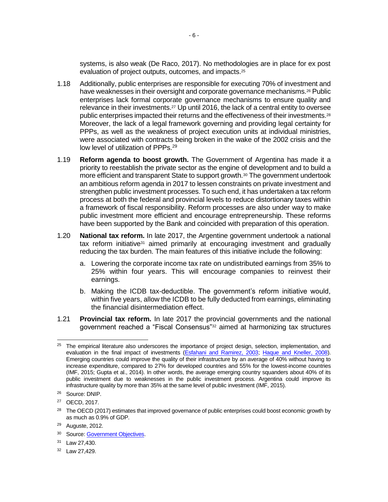systems, is also weak (De Raco, 2017). No methodologies are in place for ex post evaluation of project outputs, outcomes, and impacts.<sup>25</sup>

- 1.18 Additionally, public enterprises are responsible for executing 70% of investment and have weaknesses in their oversight and corporate governance mechanisms.<sup>26</sup> Public enterprises lack formal corporate governance mechanisms to ensure quality and relevance in their investments.<sup>27</sup> Up until 2016, the lack of a central entity to oversee public enterprises impacted their returns and the effectiveness of their investments.<sup>28</sup> Moreover, the lack of a legal framework governing and providing legal certainty for PPPs, as well as the weakness of project execution units at individual ministries, were associated with contracts being broken in the wake of the 2002 crisis and the low level of utilization of PPPs.<sup>29</sup>
- 1.19 **Reform agenda to boost growth.** The Government of Argentina has made it a priority to reestablish the private sector as the engine of development and to build a more efficient and transparent State to support growth.<sup>30</sup> The government undertook an ambitious reform agenda in 2017 to lessen constraints on private investment and strengthen public investment processes. To such end, it has undertaken a tax reform process at both the federal and provincial levels to reduce distortionary taxes within a framework of fiscal responsibility. Reform processes are also under way to make public investment more efficient and encourage entrepreneurship. These reforms have been supported by the Bank and coincided with preparation of this operation.
- 1.20 **National tax reform.** In late 2017, the Argentine government undertook a national tax reform initiative $31$  aimed primarily at encouraging investment and gradually reducing the tax burden. The main features of this initiative include the following:
	- a. Lowering the corporate income tax rate on undistributed earnings from 35% to 25% within four years. This will encourage companies to reinvest their earnings.
	- b. Making the ICDB tax-deductible. The government's reform initiative would, within five years, allow the ICDB to be fully deducted from earnings, eliminating the financial disintermediation effect.
- 1.21 **Provincial tax reform.** In late 2017 the provincial governments and the national government reached a "Fiscal Consensus"<sup>32</sup> aimed at harmonizing tax structures

 <sup>25</sup> The empirical literature also underscores the importance of project design, selection, implementation, and evaluation in the final impact of investments [\(Esfahani and Ramirez, 2003;](https://www.sciencedirect.com/science/article/pii/S0304387802001050) [Haque and Kneller, 2008\)](http://hummedia.manchester.ac.uk/schools/soss/cgbcr/discussionpapers/dpcgbcr98.pdf). Emerging countries could improve the quality of their infrastructure by an average of 40% without having to increase expenditure, compared to 27% for developed countries and 55% for the lowest-income countries (IMF, 2015; Gupta et al., 2014). In other words, the average emerging country squanders about 40% of its public investment due to weaknesses in the public investment process. Argentina could improve its infrastructure quality by more than 35% at the same level of public investment (IMF, 2015).

<sup>26</sup> Source: DNIP.

<sup>27</sup> OECD, 2017.

<sup>&</sup>lt;sup>28</sup> The OECD (2017) estimates that improved governance of public enterprises could boost economic growth by as much as 0.9% of GDP.

 $29$  Auguste, 2012.

<sup>&</sup>lt;sup>30</sup> Source[: Government Objectives.](https://www.casarosada.gob.ar/objetivosdegobierno/)

<sup>31</sup> Law 27,430.

<sup>32</sup> Law 27,429.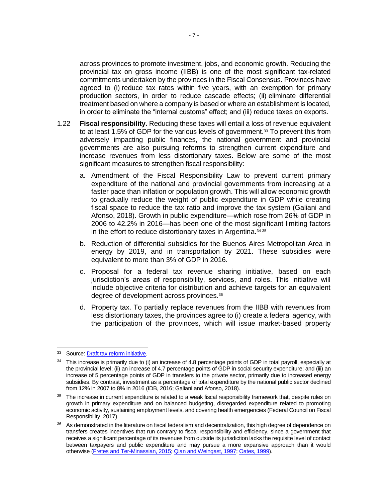across provinces to promote investment, jobs, and economic growth. Reducing the provincial tax on gross income (IIBB) is one of the most significant tax-related commitments undertaken by the provinces in the Fiscal Consensus. Provinces have agreed to (i) reduce tax rates within five years, with an exemption for primary production sectors, in order to reduce cascade effects; (ii) eliminate differential treatment based on where a company is based or where an establishment is located, in order to eliminate the "internal customs" effect; and (iii) reduce taxes on exports.

- 1.22 **Fiscal responsibility.** Reducing these taxes will entail a loss of revenue equivalent to at least 1.5% of GDP for the various levels of government.<sup>33</sup> To prevent this from adversely impacting public finances, the national government and provincial governments are also pursuing reforms to strengthen current expenditure and increase revenues from less distortionary taxes. Below are some of the most significant measures to strengthen fiscal responsibility:
	- a. Amendment of the Fiscal Responsibility Law to prevent current primary expenditure of the national and provincial governments from increasing at a faster pace than inflation or population growth. This will allow economic growth to gradually reduce the weight of public expenditure in GDP while creating fiscal space to reduce the tax ratio and improve the tax system (Galiani and Afonso, 2018). Growth in public expenditure—which rose from 26% of GDP in 2006 to 42.2% in 2016—has been one of the most significant limiting factors in the effort to reduce distortionary taxes in Argentina.<sup>34</sup> <sup>35</sup>
	- b. Reduction of differential subsidies for the Buenos Aires Metropolitan Area in energy by 2019, and in transportation by 2021. These subsidies were equivalent to more than 3% of GDP in 2016.
	- c. Proposal for a federal tax revenue sharing initiative, based on each jurisdiction's areas of responsibility, services, and roles. This initiative will include objective criteria for distribution and achieve targets for an equivalent degree of development across provinces.<sup>36</sup>
	- d. Property tax. To partially replace revenues from the IIBB with revenues from less distortionary taxes, the provinces agree to (i) create a federal agency, with the participation of the provinces, which will issue market-based property

<sup>33</sup> Source[: Draft tax reform initiative](https://www.minhacienda.gob.ar/dujovne-presento-el-proyecto-de-reforma-tributaria/).

<sup>&</sup>lt;sup>34</sup> This increase is primarily due to (i) an increase of 4.8 percentage points of GDP in total payroll, especially at the provincial level; (ii) an increase of 4.7 percentage points of GDP in social security expenditure; and (iii) an increase of 5 percentage points of GDP in transfers to the private sector, primarily due to increased energy subsidies. By contrast, investment as a percentage of total expenditure by the national public sector declined from 12% in 2007 to 8% in 2016 (IDB, 2016; Galiani and Afonso, 2018).

 $35$  The increase in current expenditure is related to a weak fiscal responsibility framework that, despite rules on growth in primary expenditure and on balanced budgeting, disregarded expenditure related to promoting economic activity, sustaining employment levels, and covering health emergencies (Federal Council on Fiscal Responsibility, 2017).

<sup>&</sup>lt;sup>36</sup> As demonstrated in the literature on fiscal federalism and decentralization, this high degree of dependence on transfers creates incentives that run contrary to fiscal responsibility and efficiency, since a government that receives a significant percentage of its revenues from outside its jurisdiction lacks the requisite level of contact between taxpayers and public expenditure and may pursue a more expansive approach than it would otherwise [\(Fretes and Ter-Minassian, 2015;](https://publications.iadb.org/bitstream/handle/11319/6883/FMM_BK_Descentralizando_los_ingresos_fiscales_en_Am%c3%a9rica_Latina.pdf?sequence=4&isAllowed=y) [Qian and Weingast, 1997;](https://pubs.aeaweb.org/doi/pdfplus/10.1257/jep.11.4.83) [Oates, 1999\)](https://pubs.aeaweb.org/doi/pdfplus/10.1257/jel.37.3.1120).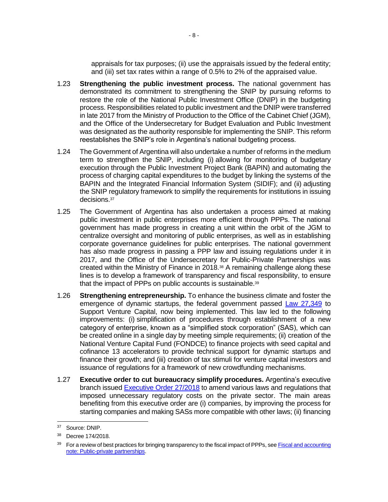appraisals for tax purposes; (ii) use the appraisals issued by the federal entity; and (iii) set tax rates within a range of 0.5% to 2% of the appraised value.

- 1.23 **Strengthening the public investment process.** The national government has demonstrated its commitment to strengthening the SNIP by pursuing reforms to restore the role of the National Public Investment Office (DNIP) in the budgeting process. Responsibilities related to public investment and the DNIP were transferred in late 2017 from the Ministry of Production to the Office of the Cabinet Chief (JGM), and the Office of the Undersecretary for Budget Evaluation and Public Investment was designated as the authority responsible for implementing the SNIP. This reform reestablishes the SNIP's role in Argentina's national budgeting process.
- 1.24 The Government of Argentina will also undertake a number of reforms in the medium term to strengthen the SNIP, including (i) allowing for monitoring of budgetary execution through the Public Investment Project Bank (BAPIN) and automating the process of charging capital expenditures to the budget by linking the systems of the BAPIN and the Integrated Financial Information System (SIDIF); and (ii) adjusting the SNIP regulatory framework to simplify the requirements for institutions in issuing decisions.<sup>37</sup>
- 1.25 The Government of Argentina has also undertaken a process aimed at making public investment in public enterprises more efficient through PPPs. The national government has made progress in creating a unit within the orbit of the JGM to centralize oversight and monitoring of public enterprises, as well as in establishing corporate governance guidelines for public enterprises. The national government has also made progress in passing a PPP law and issuing regulations under it in 2017, and the Office of the Undersecretary for Public-Private Partnerships was created within the Ministry of Finance in 2018.<sup>38</sup> A remaining challenge along these lines is to develop a framework of transparency and fiscal responsibility, to ensure that the impact of PPPs on public accounts is sustainable.<sup>39</sup>
- 1.26 **Strengthening entrepreneurship.** To enhance the business climate and foster the emergence of dynamic startups, the federal government passed [Law 27,349](http://servicios.infoleg.gob.ar/infolegInternet/anexos/270000-274999/273567/norma.htm) to Support Venture Capital, now being implemented. This law led to the following improvements: (i) simplification of procedures through establishment of a new category of enterprise, known as a "simplified stock corporation" (SAS), which can be created online in a single day by meeting simple requirements; (ii) creation of the National Venture Capital Fund (FONDCE) to finance projects with seed capital and cofinance 13 accelerators to provide technical support for dynamic startups and finance their growth; and (iii) creation of tax stimuli for venture capital investors and issuance of regulations for a framework of new crowdfunding mechanisms.
- 1.27 **Executive order to cut bureaucracy simplify procedures.** Argentina's executive branch issued [Executive Order 27/2018](http://servicios.infoleg.gob.ar/infolegInternet/anexos/305000-309999/305736/norma.htm) to amend various laws and regulations that imposed unnecessary regulatory costs on the private sector. The main areas benefiting from this executive order are (i) companies, by improving the process for starting companies and making SASs more compatible with other laws; (ii) financing

 $\overline{a}$ <sup>37</sup> Source: DNIP.

<sup>38</sup> Decree 174/2018.

<sup>&</sup>lt;sup>39</sup> For a review of best practices for bringing transparency to the fiscal impact of PPPs, see Fiscal and accounting [note: Public-private partnerships.](http://idbdocs.iadb.org/wsdocs/getDocument.aspx?DOCNUM=EZSHARE-1899350182-35)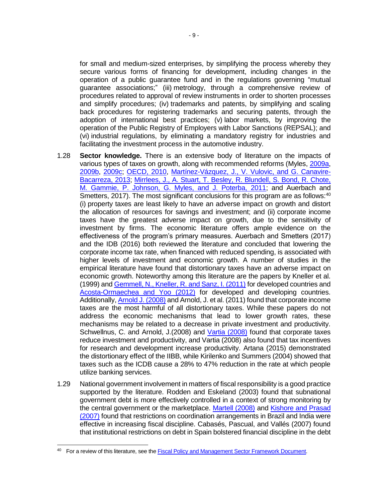for small and medium-sized enterprises, by simplifying the process whereby they secure various forms of financing for development, including changes in the operation of a public guarantee fund and in the regulations governing "mutual guarantee associations;" (iii) metrology, through a comprehensive review of procedures related to approval of review instruments in order to shorten processes and simplify procedures; (iv) trademarks and patents, by simplifying and scaling back procedures for registering trademarks and securing patents, through the adoption of international best practices; (v) labor markets, by improving the operation of the Public Registry of Employers with Labor Sanctions (REPSAL); and (vi) industrial regulations, by eliminating a mandatory registry for industries and facilitating the investment process in the automotive industry.

- 1.28 **Sector knowledge.** There is an extensive body of literature on the impacts of various types of taxes on growth, along with recommended reforms (Myles, [2009a,](https://www.oecd-ilibrary.org/deliver?redirecturl=http%3A%2F%2Fwww.keepeek.com%2FDigital-Asset-Management%2Foecd%2Feconomics%2Feconomic-growth-and-the-role-of-taxation-theory_222800633678&isPreview=true&itemId=%2Fcontent%2Fpaper%2F222800633678) [2009b,](https://www.oecd-ilibrary.org/docserver/222781828316.pdf?expires=1525379041&id=id&accname=guest&checksum=E669A434EACE60FE67964F1455C0A4A5) [2009c;](https://www.oecd-ilibrary.org/docserver/222775817802.pdf?expires=1525379099&id=id&accname=guest&checksum=4EF4FE9C1C1498E828E24B07B603FC7D) [OECD, 2010,](https://read.oecd-ilibrary.org/taxation/tax-policy-reform-and-economic-growth_9789264091085-en#page1) [Martínez-Vázquez, J., V. Vulovic, and G. Canavire-](https://publications.iadb.org/handle/11319/4583)[Bacarreza,](https://publications.iadb.org/handle/11319/4583) 2013; [Mirrlees, J., A. Stuart, T. Besley, R. Blundell, S. Bond, R. Chote,](http://www.ucl.ac.uk/~uctp39a/MirrleesReview_FS_2011.pdf)  [M. Gammie, P. Johnson, G. Myles, and J. Poterba, 2011;](http://www.ucl.ac.uk/~uctp39a/MirrleesReview_FS_2011.pdf) and Auerbach and Smetters, 2017). The most significant conclusions for this program are as follows: $40$ (i) property taxes are least likely to have an adverse impact on growth and distort the allocation of resources for savings and investment; and (ii) corporate income taxes have the greatest adverse impact on growth, due to the sensitivity of investment by firms. The economic literature offers ample evidence on the effectiveness of the program's primary measures. Auerbach and Smetters (2017) and the IDB (2016) both reviewed the literature and concluded that lowering the corporate income tax rate, when financed with reduced spending, is associated with higher levels of investment and economic growth. A number of studies in the empirical literature have found that distortionary taxes have an adverse impact on economic growth. Noteworthy among this literature are the papers by Kneller et al. (1999) and [Gemmell, N., Kneller, R. and Sanz, I. \(2011\)](https://onlinelibrary.wiley.com/doi/pdf/10.1111/j.1468-0297.2010.02414.x) for developed countries and [Acosta-Ormaechea and Yoo \(2012\)](https://www.imf.org/~/media/Websites/IMF/imported-full-text-pdf/external/pubs/ft/wp/2012/_wp12257.ashx) for developed and developing countries. Additionally[, Arnold J. \(2008\)](http://www.oecd.org/officialdocuments/publicdisplaydocumentpdf/?doclanguage=en&cote=eco/wkp(2008)51) and Arnold, J. et al. (2011) found that corporate income taxes are the most harmful of all distortionary taxes. While these papers do not address the economic mechanisms that lead to lower growth rates, these mechanisms may be related to a decrease in private investment and productivity. Schwellnus, C. and Arnold, J.(2008) and [Vartia \(2008\)](https://www.oecd-ilibrary.org/docserver/230022721067.pdf?expires=1525379937&id=id&accname=guest&checksum=31A0E2D7D73A18CD073A871F8FD49C14) found that corporate taxes reduce investment and productivity, and Vartia (2008) also found that tax incentives for research and development increase productivity. Artana (2015) demonstrated the distortionary effect of the IIBB, while Kirilenko and Summers (2004) showed that taxes such as the ICDB cause a 28% to 47% reduction in the rate at which people utilize banking services.
- 1.29 National government involvement in matters of fiscal responsibility is a good practice supported by the literature. Rodden and Eskeland (2003) found that subnational government debt is more effectively controlled in a context of strong monitoring by the central government or the marketplace. [Martell \(2008\)](https://onlinelibrary.wiley.com/doi/pdf/10.1002/pad.474) and [Kishore and Prasad](https://www.imf.org/~/media/Websites/IMF/imported-full-text-pdf/external/pubs/ft/wp/2007/_wp07205.ashx)  [\(2007\)](https://www.imf.org/~/media/Websites/IMF/imported-full-text-pdf/external/pubs/ft/wp/2007/_wp07205.ashx) found that restrictions on coordination arrangements in Brazil and India were effective in increasing fiscal discipline. Cabasés, Pascual, and Vallés (2007) found that institutional restrictions on debt in Spain bolstered financial discipline in the debt

<sup>&</sup>lt;sup>40</sup> For a review of this literature, see the **[Fiscal Policy and Management Sector Framework Document.](http://www.iadb.org/document.cfm?id=40058157)**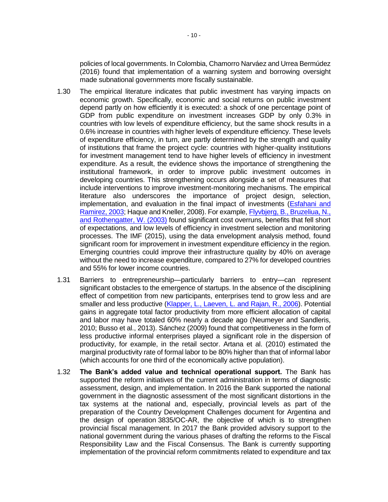policies of local governments. In Colombia, Chamorro Narváez and Urrea Bermúdez (2016) found that implementation of a warning system and borrowing oversight made subnational governments more fiscally sustainable.

- 1.30 The empirical literature indicates that public investment has varying impacts on economic growth. Specifically, economic and social returns on public investment depend partly on how efficiently it is executed: a shock of one percentage point of GDP from public expenditure on investment increases GDP by only 0.3% in countries with low levels of expenditure efficiency, but the same shock results in a 0.6% increase in countries with higher levels of expenditure efficiency. These levels of expenditure efficiency, in turn, are partly determined by the strength and quality of institutions that frame the project cycle: countries with higher-quality institutions for investment management tend to have higher levels of efficiency in investment expenditure. As a result, the evidence shows the importance of strengthening the institutional framework, in order to improve public investment outcomes in developing countries. This strengthening occurs alongside a set of measures that include interventions to improve investment-monitoring mechanisms. The empirical literature also underscores the importance of project design, selection, implementation, and evaluation in the final impact of investments [\(Esfahani and](https://ac.els-cdn.com/S0304387802001050/1-s2.0-S0304387802001050-main.pdf?_tid=27afdfda-e215-4ce5-af3c-30d39348f55a&acdnat=1525380105_87613ab9f41a002889003f5fbde27dd4)  [Ramirez, 2003;](https://ac.els-cdn.com/S0304387802001050/1-s2.0-S0304387802001050-main.pdf?_tid=27afdfda-e215-4ce5-af3c-30d39348f55a&acdnat=1525380105_87613ab9f41a002889003f5fbde27dd4) Haque and Kneller, 2008). For example, [Flyvbjerg, B., Bruzeliua, N.,](https://books.google.com/books?id=RAV5P-50UjEC&lpg=PR6&ots=RZvmZ8b1aW&dq=Megaprojects%20and%20Risk%3A%20An%20Anatomy%20of%20Ambition&lr&pg=PP1#v=onepage&q=Megaprojects%20and%20Risk%3A%20An%20Anatomy%20of%20Ambition&f=false)  [and Rothengatter,](https://books.google.com/books?id=RAV5P-50UjEC&lpg=PR6&ots=RZvmZ8b1aW&dq=Megaprojects%20and%20Risk%3A%20An%20Anatomy%20of%20Ambition&lr&pg=PP1#v=onepage&q=Megaprojects%20and%20Risk%3A%20An%20Anatomy%20of%20Ambition&f=false) W. (2003) found significant cost overruns, benefits that fell short of expectations, and low levels of efficiency in investment selection and monitoring processes. The IMF (2015), using the data envelopment analysis method, found significant room for improvement in investment expenditure efficiency in the region. Emerging countries could improve their infrastructure quality by 40% on average without the need to increase expenditure, compared to 27% for developed countries and 55% for lower income countries.
- 1.31 Barriers to entrepreneurship—particularly barriers to entry—can represent significant obstacles to the emergence of startups. In the absence of the disciplining effect of competition from new participants, enterprises tend to grow less and are smaller and less productive [\(Klapper, L., Laeven, L. and Rajan, R.,](https://faculty.chicagobooth.edu/raghuram.rajan/research/papers/entry.pdf) 2006). Potential gains in aggregate total factor productivity from more efficient allocation of capital and labor may have totaled 60% nearly a decade ago (Neumeyer and Sandleris, 2010; Busso et al., 2013). Sánchez (2009) found that competitiveness in the form of less productive informal enterprises played a significant role in the dispersion of productivity, for example, in the retail sector. Artana et al. (2010) estimated the marginal productivity rate of formal labor to be 80% higher than that of informal labor (which accounts for one third of the economically active population).
- 1.32 **The Bank's added value and technical operational support.** The Bank has supported the reform initiatives of the current administration in terms of diagnostic assessment, design, and implementation. In 2016 the Bank supported the national government in the diagnostic assessment of the most significant distortions in the tax systems at the national and, especially, provincial levels as part of the preparation of the Country Development Challenges document for Argentina and the design of operation 3835/OC-AR, the objective of which is to strengthen provincial fiscal management. In 2017 the Bank provided advisory support to the national government during the various phases of drafting the reforms to the Fiscal Responsibility Law and the Fiscal Consensus. The Bank is currently supporting implementation of the provincial reform commitments related to expenditure and tax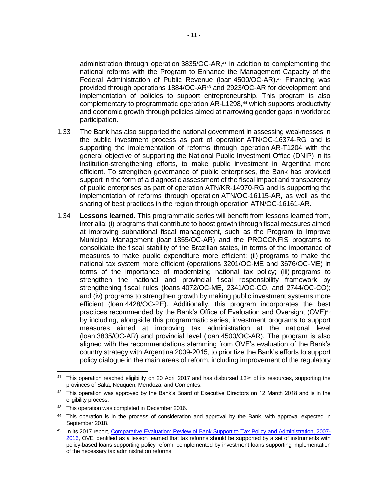administration through operation 3835/OC-AR,<sup>41</sup> in addition to complementing the national reforms with the Program to Enhance the Management Capacity of the Federal Administration of Public Revenue (loan 4500/OC-AR).<sup>42</sup> Financing was provided through operations 1884/OC-AR<sup>43</sup> and 2923/OC-AR for development and implementation of policies to support entrepreneurship. This program is also complementary to programmatic operation AR-L1298,<sup>44</sup> which supports productivity and economic growth through policies aimed at narrowing gender gaps in workforce participation.

- 1.33 The Bank has also supported the national government in assessing weaknesses in the public investment process as part of operation ATN/OC-16374-RG and is supporting the implementation of reforms through operation AR-T1204 with the general objective of supporting the National Public Investment Office (DNIP) in its institution-strengthening efforts, to make public investment in Argentina more efficient. To strengthen governance of public enterprises, the Bank has provided support in the form of a diagnostic assessment of the fiscal impact and transparency of public enterprises as part of operation ATN/KR-14970-RG and is supporting the implementation of reforms through operation ATN/OC-16115-AR, as well as the sharing of best practices in the region through operation ATN/OC-16161-AR.
- 1.34 **Lessons learned.** This programmatic series will benefit from lessons learned from, inter alia: (i) programs that contribute to boost growth through fiscal measures aimed at improving subnational fiscal management, such as the Program to Improve Municipal Management (loan 1855/OC-AR) and the PROCONFIS programs to consolidate the fiscal stability of the Brazilian states, in terms of the importance of measures to make public expenditure more efficient; (ii) programs to make the national tax system more efficient (operations 3201/OC-ME and 3676/OC-ME) in terms of the importance of modernizing national tax policy; (iii) programs to strengthen the national and provincial fiscal responsibility framework by strengthening fiscal rules (loans 4072/OC-ME, 2341/OC-CO, and 2744/OC*-*CO); and (iv) programs to strengthen growth by making public investment systems more efficient (loan 4428/OC-PE). Additionally, this program incorporates the best practices recommended by the Bank's Office of Evaluation and Oversight (OVE)<sup>45</sup> by including, alongside this programmatic series, investment programs to support measures aimed at improving tax administration at the national level (loan 3835/OC-AR) and provincial level (loan 4500/OC-AR). The program is also aligned with the recommendations stemming from OVE's evaluation of the Bank's country strategy with Argentina 2009-2015, to prioritize the Bank's efforts to support policy dialogue in the main areas of reform, including improvement of the regulatory

 $\overline{a}$ <sup>41</sup> This operation reached eligibility on 20 April 2017 and has disbursed 13% of its resources, supporting the provinces of Salta, Neuquén, Mendoza, and Corrientes.

 $42$  This operation was approved by the Bank's Board of Executive Directors on 12 March 2018 and is in the eligibility process.

<sup>43</sup> This operation was completed in December 2016.

<sup>44</sup> This operation is in the process of consideration and approval by the Bank, with approval expected in September 2018.

<sup>45</sup> In its 2017 report, [Comparative Evaluation: Review of Bank Support to Tax Policy and Administration, 2007-](https://publications.iadb.org/bitstream/handle/11319/8079/Approach-Paper-Review-of-IDB-Support-to-Tax-Policy-and-Administration-2007-2016.pdf?sequence=1) [2016,](https://publications.iadb.org/bitstream/handle/11319/8079/Approach-Paper-Review-of-IDB-Support-to-Tax-Policy-and-Administration-2007-2016.pdf?sequence=1) OVE identified as a lesson learned that tax reforms should be supported by a set of instruments with policy-based loans supporting policy reform, complemented by investment loans supporting implementation of the necessary tax administration reforms.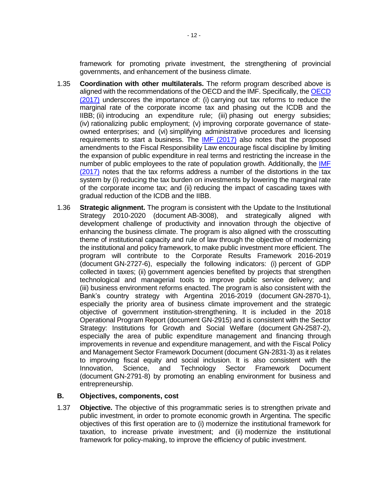framework for promoting private investment, the strengthening of provincial governments, and enhancement of the business climate.

- 1.35 **Coordination with other multilaterals.** The reform program described above is aligned with the recommendations of the OECD and the IMF. Specifically, th[e OECD](https://read.oecd-ilibrary.org/economics/oecd-economic-surveys-argentina-2017_eco_surveys-arg-2017-en#page1)  [\(2017\)](https://read.oecd-ilibrary.org/economics/oecd-economic-surveys-argentina-2017_eco_surveys-arg-2017-en#page1) underscores the importance of: (i) carrying out tax reforms to reduce the marginal rate of the corporate income tax and phasing out the ICDB and the IIBB; (ii) introducing an expenditure rule; (iii) phasing out energy subsidies; (iv) rationalizing public employment; (v) improving corporate governance of stateowned enterprises; and (vi) simplifying administrative procedures and licensing requirements to start a business. The [IMF \(2017\)](https://www.imf.org/en/Publications/CR/Issues/2017/12/29/Argentina-2017-Article-IV-Consultation-Press-Release-Staff-Report-and-Statement-by-the-45530) also notes that the proposed amendments to the Fiscal Responsibility Law encourage fiscal discipline by limiting the expansion of public expenditure in real terms and restricting the increase in the number of public employees to the rate of population growth. Additionally, the [IMF](https://www.imf.org/en/Publications/CR/Issues/2017/12/29/Argentina-2017-Article-IV-Consultation-Press-Release-Staff-Report-and-Statement-by-the-45530)  [\(2017\)](https://www.imf.org/en/Publications/CR/Issues/2017/12/29/Argentina-2017-Article-IV-Consultation-Press-Release-Staff-Report-and-Statement-by-the-45530) notes that the tax reforms address a number of the distortions in the tax system by (i) reducing the tax burden on investments by lowering the marginal rate of the corporate income tax; and (ii) reducing the impact of cascading taxes with gradual reduction of the ICDB and the IIBB.
- 1.36 **Strategic alignment.** The program is consistent with the Update to the Institutional Strategy 2010-2020 (document AB-3008), and strategically aligned with development challenge of productivity and innovation through the objective of enhancing the business climate. The program is also aligned with the crosscutting theme of institutional capacity and rule of law through the objective of modernizing the institutional and policy framework, to make public investment more efficient. The program will contribute to the Corporate Results Framework 2016-2019 (document GN-2727-6), especially the following indicators: (i) percent of GDP collected in taxes; (ii) government agencies benefited by projects that strengthen technological and managerial tools to improve public service delivery; and (iii) business environment reforms enacted. The program is also consistent with the Bank's country strategy with Argentina 2016-2019 (document GN-2870-1), especially the priority area of business climate improvement and the strategic objective of government institution-strengthening. It is included in the 2018 Operational Program Report (document GN-2915) and is consistent with the Sector Strategy: Institutions for Growth and Social Welfare (document GN-2587-2), especially the area of public expenditure management and financing through improvements in revenue and expenditure management, and with the Fiscal Policy and Management Sector Framework Document (document GN-2831-3) as it relates to improving fiscal equity and social inclusion. It is also consistent with the Innovation, Science, and Technology Sector Framework Document (document GN-2791-8) by promoting an enabling environment for business and entrepreneurship.

#### **B. Objectives, components, cost**

1.37 **Objective.** The objective of this programmatic series is to strengthen private and public investment, in order to promote economic growth in Argentina. The specific objectives of this first operation are to (i) modernize the institutional framework for taxation, to increase private investment; and (ii) modernize the institutional framework for policy-making, to improve the efficiency of public investment.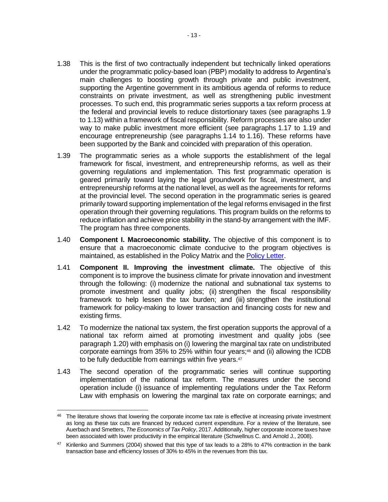- 1.38 This is the first of two contractually independent but technically linked operations under the programmatic policy-based loan (PBP) modality to address to Argentina's main challenges to boosting growth through private and public investment, supporting the Argentine government in its ambitious agenda of reforms to reduce constraints on private investment, as well as strengthening public investment processes. To such end, this programmatic series supports a tax reform process at the federal and provincial levels to reduce distortionary taxes (see paragraphs 1.9 to 1.13) within a framework of fiscal responsibility. Reform processes are also under way to make public investment more efficient (see paragraphs 1.17 to 1.19 and encourage entrepreneurship (see paragraphs 1.14 to 1.16). These reforms have been supported by the Bank and coincided with preparation of this operation.
- 1.39 The programmatic series as a whole supports the establishment of the legal framework for fiscal, investment, and entrepreneurship reforms, as well as their governing regulations and implementation. This first programmatic operation is geared primarily toward laying the legal groundwork for fiscal, investment, and entrepreneurship reforms at the national level, as well as the agreements for reforms at the provincial level. The second operation in the programmatic series is geared primarily toward supporting implementation of the legal reforms envisaged in the first operation through their governing regulations. This program builds on the reforms to reduce inflation and achieve price stability in the stand-by arrangement with the IMF. The program has three components.
- 1.40 **Component I. Macroeconomic stability.** The objective of this component is to ensure that a macroeconomic climate conducive to the program objectives is maintained, as established in the Policy Matrix and the [Policy Letter.](https://idbg.sharepoint.com/teams/EZ-AR-LON/AR-L1283/_layouts/15/DocIdRedir.aspx?ID=EZSHARE-1899350182-40)
- 1.41 **Component II. Improving the investment climate.** The objective of this component is to improve the business climate for private innovation and investment through the following: (i) modernize the national and subnational tax systems to promote investment and quality jobs; (ii) strengthen the fiscal responsibility framework to help lessen the tax burden; and (iii) strengthen the institutional framework for policy-making to lower transaction and financing costs for new and existing firms.
- 1.42 To modernize the national tax system, the first operation supports the approval of a national tax reform aimed at promoting investment and quality jobs (see paragraph 1.20) with emphasis on (i) lowering the marginal tax rate on undistributed corporate earnings from 35% to 25% within four years; <sup>46</sup> and (ii) allowing the ICDB to be fully deductible from earnings within five years. 47
- 1.43 The second operation of the programmatic series will continue supporting implementation of the national tax reform. The measures under the second operation include (i) issuance of implementing regulations under the Tax Reform Law with emphasis on lowering the marginal tax rate on corporate earnings; and

<sup>&</sup>lt;sup>46</sup> The literature shows that lowering the corporate income tax rate is effective at increasing private investment as long as these tax cuts are financed by reduced current expenditure. For a review of the literature, see Auerbach and Smetters, *The Economics of Tax Policy*, 2017. Additionally, higher corporate income taxes have been associated with lower productivity in the empirical literature (Schwellnus C. and Arnold J., 2008).

<sup>&</sup>lt;sup>47</sup> Kirilenko and Summers (2004) showed that this type of tax leads to a 28% to 47% contraction in the bank transaction base and efficiency losses of 30% to 45% in the revenues from this tax.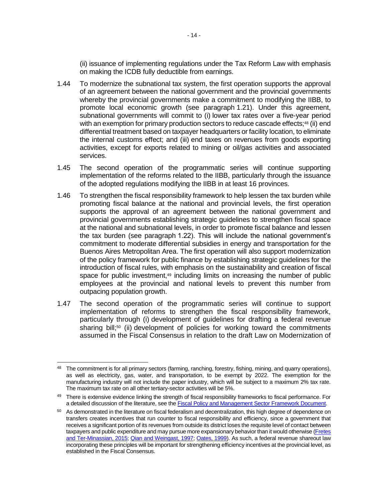(ii) issuance of implementing regulations under the Tax Reform Law with emphasis on making the ICDB fully deductible from earnings.

- 1.44 To modernize the subnational tax system, the first operation supports the approval of an agreement between the national government and the provincial governments whereby the provincial governments make a commitment to modifying the IIBB, to promote local economic growth (see paragraph 1.21). Under this agreement, subnational governments will commit to (i) lower tax rates over a five-year period with an exemption for primary production sectors to reduce cascade effects:<sup>48</sup> (ii) end differential treatment based on taxpayer headquarters or facility location, to eliminate the internal customs effect; and (iii) end taxes on revenues from goods exporting activities, except for exports related to mining or oil/gas activities and associated services.
- 1.45 The second operation of the programmatic series will continue supporting implementation of the reforms related to the IIBB, particularly through the issuance of the adopted regulations modifying the IIBB in at least 16 provinces.
- 1.46 To strengthen the fiscal responsibility framework to help lessen the tax burden while promoting fiscal balance at the national and provincial levels, the first operation supports the approval of an agreement between the national government and provincial governments establishing strategic guidelines to strengthen fiscal space at the national and subnational levels, in order to promote fiscal balance and lessen the tax burden (see paragraph 1.22). This will include the national government's commitment to moderate differential subsidies in energy and transportation for the Buenos Aires Metropolitan Area. The first operation will also support modernization of the policy framework for public finance by establishing strategic guidelines for the introduction of fiscal rules, with emphasis on the sustainability and creation of fiscal space for public investment,<sup>49</sup> including limits on increasing the number of public employees at the provincial and national levels to prevent this number from outpacing population growth.
- 1.47 The second operation of the programmatic series will continue to support implementation of reforms to strengthen the fiscal responsibility framework, particularly through (i) development of guidelines for drafting a federal revenue sharing bill; <sup>50</sup> (ii) development of policies for working toward the commitments assumed in the Fiscal Consensus in relation to the draft Law on Modernization of

 <sup>48</sup> The commitment is for all primary sectors (farming, ranching, forestry, fishing, mining, and quarry operations), as well as electricity, gas, water, and transportation, to be exempt by 2022. The exemption for the manufacturing industry will not include the paper industry, which will be subject to a maximum 2% tax rate. The maximum tax rate on all other tertiary-sector activities will be 5%.

<sup>49</sup> There is extensive evidence linking the strength of fiscal responsibility frameworks to fiscal performance. For a detailed discussion of the literature, see th[e Fiscal Policy and Management Sector Framework Document.](http://idbdocs.iadb.org/wsdocs/getDocument.aspx?DOCNUM=40051820)

<sup>&</sup>lt;sup>50</sup> As demonstrated in the literature on fiscal federalism and decentralization, this high degree of dependence on transfers creates incentives that run counter to fiscal responsibility and efficiency, since a government that receives a significant portion of its revenues from outside its district loses the requisite level of contact between taxpayers and public expenditure and may pursue more expansionary behavior than it would otherwise [\(Fretes](https://publications.iadb.org/bitstream/handle/11319/6883/FMM_BK_Descentralizando_los_ingresos_fiscales_en_Am%c3%a9rica_Latina.pdf?sequence=4&isAllowed=y)  [and Ter-Minassian, 2015;](https://publications.iadb.org/bitstream/handle/11319/6883/FMM_BK_Descentralizando_los_ingresos_fiscales_en_Am%c3%a9rica_Latina.pdf?sequence=4&isAllowed=y) [Qian and Weingast, 1997;](https://pubs.aeaweb.org/doi/pdfplus/10.1257/jep.11.4.83) [Oates, 1999\)](https://pubs.aeaweb.org/doi/pdfplus/10.1257/jel.37.3.1120). As such, a federal revenue shareout law incorporating these principles will be important for strengthening efficiency incentives at the provincial level, as established in the Fiscal Consensus.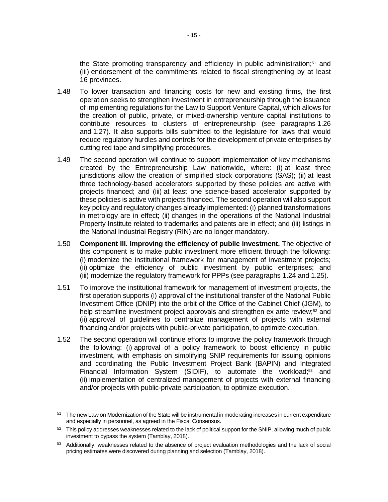the State promoting transparency and efficiency in public administration;<sup>51</sup> and (iii) endorsement of the commitments related to fiscal strengthening by at least 16 provinces.

- 1.48 To lower transaction and financing costs for new and existing firms, the first operation seeks to strengthen investment in entrepreneurship through the issuance of implementing regulations for the Law to Support Venture Capital, which allows for the creation of public, private, or mixed-ownership venture capital institutions to contribute resources to clusters of entrepreneurship (see paragraphs 1.26 and 1.27). It also supports bills submitted to the legislature for laws that would reduce regulatory hurdles and controls for the development of private enterprises by cutting red tape and simplifying procedures.
- 1.49 The second operation will continue to support implementation of key mechanisms created by the Entrepreneurship Law nationwide, where: (i) at least three jurisdictions allow the creation of simplified stock corporations (SAS); (ii) at least three technology-based accelerators supported by these policies are active with projects financed; and (iii) at least one science-based accelerator supported by these policies is active with projects financed. The second operation will also support key policy and regulatory changes already implemented: (i) planned transformations in metrology are in effect; (ii) changes in the operations of the National Industrial Property Institute related to trademarks and patents are in effect; and (iii) listings in the National Industrial Registry (RIN) are no longer mandatory.
- 1.50 **Component III. Improving the efficiency of public investment.** The objective of this component is to make public investment more efficient through the following: (i) modernize the institutional framework for management of investment projects; (ii) optimize the efficiency of public investment by public enterprises; and (iii) modernize the regulatory framework for PPPs (see paragraphs 1.24 and 1.25).
- 1.51 To improve the institutional framework for management of investment projects, the first operation supports (i) approval of the institutional transfer of the National Public Investment Office (DNIP) into the orbit of the Office of the Cabinet Chief (JGM), to help streamline investment project approvals and strengthen ex ante review;<sup>52</sup> and (ii) approval of guidelines to centralize management of projects with external financing and/or projects with public-private participation, to optimize execution.
- 1.52 The second operation will continue efforts to improve the policy framework through the following: (i) approval of a policy framework to boost efficiency in public investment, with emphasis on simplifying SNIP requirements for issuing opinions and coordinating the Public Investment Project Bank (BAPIN) and Integrated Financial Information System (SIDIF), to automate the workload;<sup>53</sup> and (ii) implementation of centralized management of projects with external financing and/or projects with public-private participation, to optimize execution.

<sup>51</sup> The new Law on Modernization of the State will be instrumental in moderating increases in current expenditure and especially in personnel, as agreed in the Fiscal Consensus.

<sup>52</sup> This policy addresses weaknesses related to the lack of political support for the SNIP, allowing much of public investment to bypass the system (Tamblay, 2018).

<sup>&</sup>lt;sup>53</sup> Additionally, weaknesses related to the absence of project evaluation methodologies and the lack of social pricing estimates were discovered during planning and selection (Tamblay, 2018).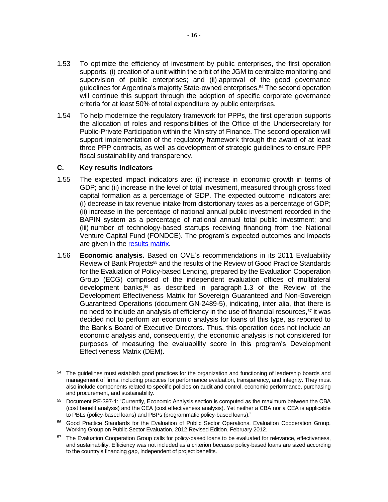- 1.53 To optimize the efficiency of investment by public enterprises, the first operation supports: (i) creation of a unit within the orbit of the JGM to centralize monitoring and supervision of public enterprises; and (ii) approval of the good governance guidelines for Argentina's majority State-owned enterprises.<sup>54</sup> The second operation will continue this support through the adoption of specific corporate governance criteria for at least 50% of total expenditure by public enterprises.
- 1.54 To help modernize the regulatory framework for PPPs, the first operation supports the allocation of roles and responsibilities of the Office of the Undersecretary for Public-Private Participation within the Ministry of Finance. The second operation will support implementation of the regulatory framework through the award of at least three PPP contracts, as well as development of strategic guidelines to ensure PPP fiscal sustainability and transparency.

## **C. Key results indicators**

- 1.55 The expected impact indicators are: (i) increase in economic growth in terms of GDP; and (ii) increase in the level of total investment, measured through gross fixed capital formation as a percentage of GDP. The expected outcome indicators are: (i) decrease in tax revenue intake from distortionary taxes as a percentage of GDP; (ii) increase in the percentage of national annual public investment recorded in the BAPIN system as a percentage of national annual total public investment; and (iii) number of technology-based startups receiving financing from the National Venture Capital Fund (FONDCE). The program's expected outcomes and impacts are given in the [results matrix.](https://idbg.sharepoint.com/teams/EZ-AR-LON/AR-L1283/_layouts/15/DocIdRedir.aspx?ID=EZSHARE-1899350182-23)
- 1.56 **Economic analysis.** Based on OVE's recommendations in its 2011 Evaluability Review of Bank Projects<sup>55</sup> and the results of the Review of Good Practice Standards for the Evaluation of Policy-based Lending, prepared by the Evaluation Cooperation Group (ECG) comprised of the independent evaluation offices of multilateral development banks,<sup>56</sup> as described in paragraph 1.3 of the Review of the Development Effectiveness Matrix for Sovereign Guaranteed and Non-Sovereign Guaranteed Operations (document GN-2489-5), indicating, inter alia, that there is no need to include an analysis of efficiency in the use of financial resources,<sup>57</sup> it was decided not to perform an economic analysis for loans of this type, as reported to the Bank's Board of Executive Directors. Thus, this operation does not include an economic analysis and, consequently, the economic analysis is not considered for purposes of measuring the evaluability score in this program's Development Effectiveness Matrix (DEM).

 <sup>54</sup> The guidelines must establish good practices for the organization and functioning of leadership boards and management of firms, including practices for performance evaluation, transparency, and integrity. They must also include components related to specific policies on audit and control, economic performance, purchasing and procurement, and sustainability.

<sup>55</sup> Document RE-397-1: "Currently, Economic Analysis section is computed as the maximum between the CBA (cost benefit analysis) and the CEA (cost effectiveness analysis). Yet neither a CBA nor a CEA is applicable to PBLs (policy-based loans) and PBPs (programmatic policy-based loans)."

<sup>&</sup>lt;sup>56</sup> Good Practice Standards for the Evaluation of Public Sector Operations. Evaluation Cooperation Group, Working Group on Public Sector Evaluation, 2012 Revised Edition. February 2012.

<sup>&</sup>lt;sup>57</sup> The Evaluation Cooperation Group calls for policy-based loans to be evaluated for relevance, effectiveness, and sustainability. Efficiency was not included as a criterion because policy-based loans are sized according to the country's financing gap, independent of project benefits.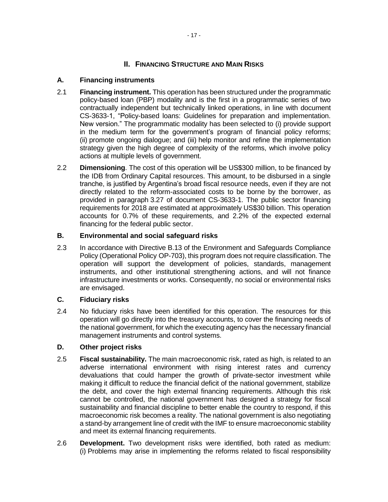## **II. FINANCING STRUCTURE AND MAIN RISKS**

#### **A. Financing instruments**

- 2.1 **Financing instrument.** This operation has been structured under the programmatic policy-based loan (PBP) modality and is the first in a programmatic series of two contractually independent but technically linked operations, in line with document CS-3633-1, "Policy-based loans: Guidelines for preparation and implementation. New version." The programmatic modality has been selected to (i) provide support in the medium term for the government's program of financial policy reforms; (ii) promote ongoing dialogue; and (iii) help monitor and refine the implementation strategy given the high degree of complexity of the reforms, which involve policy actions at multiple levels of government.
- 2.2 **Dimensioning**. The cost of this operation will be US\$300 million, to be financed by the IDB from Ordinary Capital resources. This amount, to be disbursed in a single tranche, is justified by Argentina's broad fiscal resource needs, even if they are not directly related to the reform-associated costs to be borne by the borrower, as provided in paragraph 3.27 of document CS-3633-1. The public sector financing requirements for 2018 are estimated at approximately US\$30 billion. This operation accounts for 0.7% of these requirements, and 2.2% of the expected external financing for the federal public sector.

## **B. Environmental and social safeguard risks**

2.3 In accordance with Directive B.13 of the Environment and Safeguards Compliance Policy (Operational Policy OP-703), this program does not require classification. The operation will support the development of policies, standards, management instruments, and other institutional strengthening actions, and will not finance infrastructure investments or works. Consequently, no social or environmental risks are envisaged.

#### **C. Fiduciary risks**

2.4 No fiduciary risks have been identified for this operation. The resources for this operation will go directly into the treasury accounts, to cover the financing needs of the national government, for which the executing agency has the necessary financial management instruments and control systems.

#### **D. Other project risks**

- 2.5 **Fiscal sustainability.** The main macroeconomic risk, rated as high, is related to an adverse international environment with rising interest rates and currency devaluations that could hamper the growth of private-sector investment while making it difficult to reduce the financial deficit of the national government, stabilize the debt, and cover the high external financing requirements. Although this risk cannot be controlled, the national government has designed a strategy for fiscal sustainability and financial discipline to better enable the country to respond, if this macroeconomic risk becomes a reality. The national government is also negotiating a stand-by arrangement line of credit with the IMF to ensure macroeconomic stability and meet its external financing requirements.
- 2.6 **Development.** Two development risks were identified, both rated as medium: (i) Problems may arise in implementing the reforms related to fiscal responsibility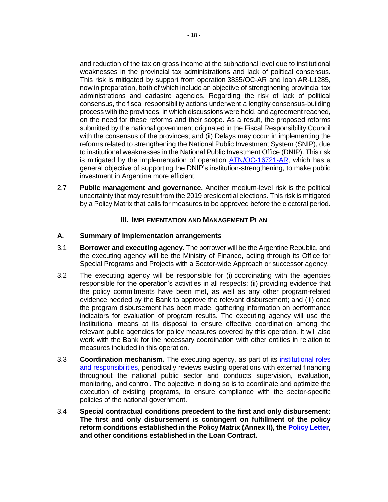and reduction of the tax on gross income at the subnational level due to institutional weaknesses in the provincial tax administrations and lack of political consensus. This risk is mitigated by support from operation 3835/OC-AR and loan AR-L1285, now in preparation, both of which include an objective of strengthening provincial tax administrations and cadastre agencies. Regarding the risk of lack of political consensus, the fiscal responsibility actions underwent a lengthy consensus-building process with the provinces, in which discussions were held, and agreement reached, on the need for these reforms and their scope. As a result, the proposed reforms submitted by the national government originated in the Fiscal Responsibility Council with the consensus of the provinces; and (ii) Delays may occur in implementing the reforms related to strengthening the National Public Investment System (SNIP), due to institutional weaknesses in the National Public Investment Office (DNIP). This risk is mitigated by the implementation of operation [ATN/OC-16721-AR,](javascript:openLinkInNewWindow() which has a general objective of supporting the DNIP's institution-strengthening, to make public investment in Argentina more efficient.

2.7 **Public management and governance.** Another medium-level risk is the political uncertainty that may result from the 2019 presidential elections. This risk is mitigated by a Policy Matrix that calls for measures to be approved before the electoral period.

#### **III. IMPLEMENTATION AND MANAGEMENT PLAN**

#### **A. Summary of implementation arrangements**

- 3.1 **Borrower and executing agency.** The borrower will be the Argentine Republic, and the executing agency will be the Ministry of Finance, acting through its Office for Special Programs and Projects with a Sector-wide Approach or successor agency.
- 3.2 The executing agency will be responsible for (i) coordinating with the agencies responsible for the operation's activities in all respects; (ii) providing evidence that the policy commitments have been met, as well as any other program-related evidence needed by the Bank to approve the relevant disbursement; and (iii) once the program disbursement has been made, gathering information on performance indicators for evaluation of program results. The executing agency will use the institutional means at its disposal to ensure effective coordination among the relevant public agencies for policy measures covered by this operation. It will also work with the Bank for the necessary coordination with other entities in relation to measures included in this operation.
- 3.3 **Coordination mechanism.** The executing agency, as part of its [institutional roles](https://www.minfinanzas.gob.ar/secretarias/finanzas/relaciones-financieras-internacionales/objetivos/) [and responsibilities,](https://www.minfinanzas.gob.ar/secretarias/finanzas/relaciones-financieras-internacionales/objetivos/) periodically reviews existing operations with external financing throughout the national public sector and conducts supervision, evaluation, monitoring, and control. The objective in doing so is to coordinate and optimize the execution of existing programs, to ensure compliance with the sector-specific policies of the national government.
- 3.4 **Special contractual conditions precedent to the first and only disbursement: The first and only disbursement is contingent on fulfillment of the policy reform conditions established in the Policy Matrix (Annex II), th[e Policy Letter,](https://idbg.sharepoint.com/teams/EZ-AR-LON/AR-L1283/_layouts/15/DocIdRedir.aspx?ID=EZSHARE-1899350182-40) and other conditions established in the Loan Contract.**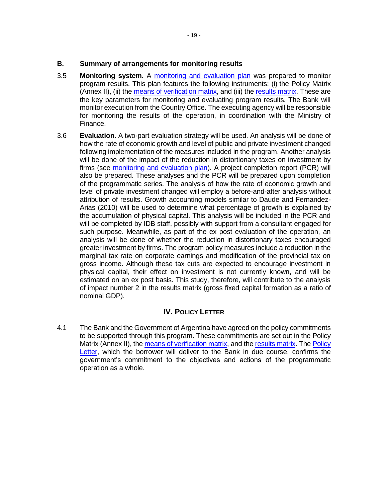#### **B. Summary of arrangements for monitoring results**

- 3.5 **Monitoring system.** A [monitoring and evaluation plan](https://idbg.sharepoint.com/teams/EZ-AR-LON/AR-L1283/_layouts/15/DocIdRedir.aspx?ID=EZSHARE-1899350182-19) was prepared to monitor program results. This plan features the following instruments: (i) the Policy Matrix (Annex II), (ii) the [means of verification matrix,](https://idbg.sharepoint.com/teams/EZ-AR-LON/AR-L1283/_layouts/15/DocIdRedir.aspx?ID=EZSHARE-1899350182-22) and (iii) th[e results matrix.](https://idbg.sharepoint.com/teams/EZ-AR-LON/AR-L1283/_layouts/15/DocIdRedir.aspx?ID=EZSHARE-1899350182-23) These are the key parameters for monitoring and evaluating program results. The Bank will monitor execution from the Country Office. The executing agency will be responsible for monitoring the results of the operation, in coordination with the Ministry of Finance.
- 3.6 **Evaluation.** A two-part evaluation strategy will be used. An analysis will be done of how the rate of economic growth and level of public and private investment changed following implementation of the measures included in the program. Another analysis will be done of the impact of the reduction in distortionary taxes on investment by firms (see [monitoring and evaluation plan\)](https://idbg.sharepoint.com/teams/EZ-AR-LON/AR-L1283/_layouts/15/DocIdRedir.aspx?ID=EZSHARE-1899350182-19). A project completion report (PCR) will also be prepared. These analyses and the PCR will be prepared upon completion of the programmatic series. The analysis of how the rate of economic growth and level of private investment changed will employ a before-and-after analysis without attribution of results. Growth accounting models similar to Daude and Fernandez-Arias (2010) will be used to determine what percentage of growth is explained by the accumulation of physical capital. This analysis will be included in the PCR and will be completed by IDB staff, possibly with support from a consultant engaged for such purpose. Meanwhile, as part of the ex post evaluation of the operation, an analysis will be done of whether the reduction in distortionary taxes encouraged greater investment by firms. The program policy measures include a reduction in the marginal tax rate on corporate earnings and modification of the provincial tax on gross income. Although these tax cuts are expected to encourage investment in physical capital, their effect on investment is not currently known, and will be estimated on an ex post basis. This study, therefore, will contribute to the analysis of impact number 2 in the results matrix (gross fixed capital formation as a ratio of nominal GDP).

### **IV. POLICY LETTER**

4.1 The Bank and the Government of Argentina have agreed on the policy commitments to be supported through this program. These commitments are set out in the Policy Matrix (Annex II), the [means of verification matrix,](https://idbg.sharepoint.com/teams/EZ-AR-LON/AR-L1283/_layouts/15/DocIdRedir.aspx?ID=EZSHARE-1899350182-22) and th[e results matrix.](https://idbg.sharepoint.com/teams/EZ-AR-LON/AR-L1283/_layouts/15/DocIdRedir.aspx?ID=EZSHARE-1899350182-23) The [Policy](https://idbg.sharepoint.com/teams/EZ-AR-LON/AR-L1283/_layouts/15/DocIdRedir.aspx?ID=EZSHARE-1899350182-40)  [Letter,](https://idbg.sharepoint.com/teams/EZ-AR-LON/AR-L1283/_layouts/15/DocIdRedir.aspx?ID=EZSHARE-1899350182-40) which the borrower will deliver to the Bank in due course, confirms the government's commitment to the objectives and actions of the programmatic operation as a whole.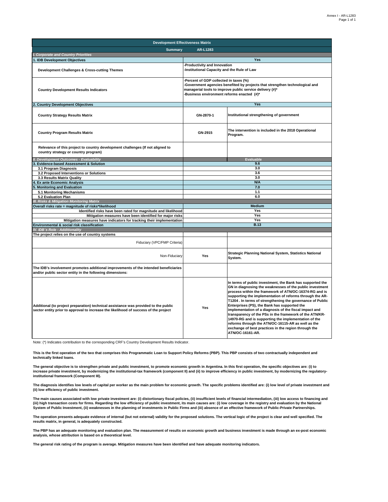| <b>Development Effectiveness Matrix</b>                                                                                                                                     |                                                                                                                                                                                                                               |                                                                                                                                                                                                                                                                                                                                                                                                                                                                                                                                                                                                                                                                          |  |  |
|-----------------------------------------------------------------------------------------------------------------------------------------------------------------------------|-------------------------------------------------------------------------------------------------------------------------------------------------------------------------------------------------------------------------------|--------------------------------------------------------------------------------------------------------------------------------------------------------------------------------------------------------------------------------------------------------------------------------------------------------------------------------------------------------------------------------------------------------------------------------------------------------------------------------------------------------------------------------------------------------------------------------------------------------------------------------------------------------------------------|--|--|
| <b>Summary</b><br>AR-L1283                                                                                                                                                  |                                                                                                                                                                                                                               |                                                                                                                                                                                                                                                                                                                                                                                                                                                                                                                                                                                                                                                                          |  |  |
| I. Corporate and Country Priorities                                                                                                                                         |                                                                                                                                                                                                                               |                                                                                                                                                                                                                                                                                                                                                                                                                                                                                                                                                                                                                                                                          |  |  |
| . IDB Development Objectives                                                                                                                                                |                                                                                                                                                                                                                               | <b>Yes</b>                                                                                                                                                                                                                                                                                                                                                                                                                                                                                                                                                                                                                                                               |  |  |
| Development Challenges & Cross-cutting Themes                                                                                                                               | -Productivity and Innovation<br>Institutional Capacity and the Rule of Law                                                                                                                                                    |                                                                                                                                                                                                                                                                                                                                                                                                                                                                                                                                                                                                                                                                          |  |  |
| <b>Country Development Results Indicators</b>                                                                                                                               | Percent of GDP collected in taxes (%)<br>Government agencies benefited by projects that strengthen technological and<br>managerial tools to improve public service delivery (#)*<br>Business environment reforms enacted (#)* |                                                                                                                                                                                                                                                                                                                                                                                                                                                                                                                                                                                                                                                                          |  |  |
| <b>Country Development Objectives</b>                                                                                                                                       |                                                                                                                                                                                                                               | Yes                                                                                                                                                                                                                                                                                                                                                                                                                                                                                                                                                                                                                                                                      |  |  |
| <b>Country Strategy Results Matrix</b>                                                                                                                                      | GN-2870-1                                                                                                                                                                                                                     | Institutional strengthening of government                                                                                                                                                                                                                                                                                                                                                                                                                                                                                                                                                                                                                                |  |  |
| <b>Country Program Results Matrix</b>                                                                                                                                       | GN-2915                                                                                                                                                                                                                       | The intervention is included in the 2018 Operational<br>Program.                                                                                                                                                                                                                                                                                                                                                                                                                                                                                                                                                                                                         |  |  |
| Relevance of this project to country development challenges (If not aligned to<br>country strategy or country program)                                                      |                                                                                                                                                                                                                               |                                                                                                                                                                                                                                                                                                                                                                                                                                                                                                                                                                                                                                                                          |  |  |
| <b>Development Outcomes - Evaluability</b>                                                                                                                                  |                                                                                                                                                                                                                               | <b>Evaluable</b>                                                                                                                                                                                                                                                                                                                                                                                                                                                                                                                                                                                                                                                         |  |  |
| <b>Evidence-based Assessment &amp; Solution</b>                                                                                                                             |                                                                                                                                                                                                                               | 9.6                                                                                                                                                                                                                                                                                                                                                                                                                                                                                                                                                                                                                                                                      |  |  |
| 3.1 Program Diagnosis                                                                                                                                                       |                                                                                                                                                                                                                               | 3.0                                                                                                                                                                                                                                                                                                                                                                                                                                                                                                                                                                                                                                                                      |  |  |
| 3.2 Proposed Interventions or Solutions                                                                                                                                     |                                                                                                                                                                                                                               | 3.6                                                                                                                                                                                                                                                                                                                                                                                                                                                                                                                                                                                                                                                                      |  |  |
| 3.3 Results Matrix Quality                                                                                                                                                  |                                                                                                                                                                                                                               | 3.0                                                                                                                                                                                                                                                                                                                                                                                                                                                                                                                                                                                                                                                                      |  |  |
| <b>Ex ante Economic Analysis</b>                                                                                                                                            | <b>N/A</b>                                                                                                                                                                                                                    |                                                                                                                                                                                                                                                                                                                                                                                                                                                                                                                                                                                                                                                                          |  |  |
| <b>Monitoring and Evaluation</b>                                                                                                                                            | 7.0                                                                                                                                                                                                                           |                                                                                                                                                                                                                                                                                                                                                                                                                                                                                                                                                                                                                                                                          |  |  |
| 5.1 Monitoring Mechanisms                                                                                                                                                   |                                                                                                                                                                                                                               | 1.1                                                                                                                                                                                                                                                                                                                                                                                                                                                                                                                                                                                                                                                                      |  |  |
| 5.2 Evaluation Plan                                                                                                                                                         |                                                                                                                                                                                                                               | 6.0                                                                                                                                                                                                                                                                                                                                                                                                                                                                                                                                                                                                                                                                      |  |  |
| <b>Risks &amp; Mitigation Monitoring Matrix</b>                                                                                                                             |                                                                                                                                                                                                                               |                                                                                                                                                                                                                                                                                                                                                                                                                                                                                                                                                                                                                                                                          |  |  |
| Overall risks rate = magnitude of risks*likelihood                                                                                                                          |                                                                                                                                                                                                                               | Medium                                                                                                                                                                                                                                                                                                                                                                                                                                                                                                                                                                                                                                                                   |  |  |
| Identified risks have been rated for magnitude and likelihood                                                                                                               |                                                                                                                                                                                                                               | Yes                                                                                                                                                                                                                                                                                                                                                                                                                                                                                                                                                                                                                                                                      |  |  |
| Mitigation measures have been identified for major risks                                                                                                                    |                                                                                                                                                                                                                               | Yes                                                                                                                                                                                                                                                                                                                                                                                                                                                                                                                                                                                                                                                                      |  |  |
| Mitigation measures have indicators for tracking their implementation                                                                                                       |                                                                                                                                                                                                                               | Yes                                                                                                                                                                                                                                                                                                                                                                                                                                                                                                                                                                                                                                                                      |  |  |
| Environmental & social risk classification                                                                                                                                  |                                                                                                                                                                                                                               | B.13                                                                                                                                                                                                                                                                                                                                                                                                                                                                                                                                                                                                                                                                     |  |  |
| IV. IDB's Role - Additionality                                                                                                                                              |                                                                                                                                                                                                                               |                                                                                                                                                                                                                                                                                                                                                                                                                                                                                                                                                                                                                                                                          |  |  |
| The project relies on the use of country systems                                                                                                                            |                                                                                                                                                                                                                               |                                                                                                                                                                                                                                                                                                                                                                                                                                                                                                                                                                                                                                                                          |  |  |
|                                                                                                                                                                             |                                                                                                                                                                                                                               |                                                                                                                                                                                                                                                                                                                                                                                                                                                                                                                                                                                                                                                                          |  |  |
| Fiduciary (VPC/FMP Criteria)                                                                                                                                                |                                                                                                                                                                                                                               |                                                                                                                                                                                                                                                                                                                                                                                                                                                                                                                                                                                                                                                                          |  |  |
| Non-Fiduciary                                                                                                                                                               | Yes                                                                                                                                                                                                                           | Strategic Planning National System, Statistics National<br>System.                                                                                                                                                                                                                                                                                                                                                                                                                                                                                                                                                                                                       |  |  |
| The IDB's involvement promotes additional improvements of the intended beneficiaries<br>and/or public sector entity in the following dimensions:                            |                                                                                                                                                                                                                               |                                                                                                                                                                                                                                                                                                                                                                                                                                                                                                                                                                                                                                                                          |  |  |
| Additional (to project preparation) technical assistance was provided to the public<br>sector entity prior to approval to increase the likelihood of success of the project | Yes                                                                                                                                                                                                                           | In terms of public investment, the Bank has supported the<br>GN in diagnosing the weaknesses of the public investment<br>process within the framework of ATN/OC-16374-RG and is<br>supporting the implementation of reforms through the AR-<br>T1204 . In terms of strengthening the governance of Public<br>Enterprises (PS), the Bank has supported the<br>implementation of a diagnosis of the fiscal impact and<br>transparency of the PSs in the framework of the ATN/KR-<br>14970-RG and is supporting the implementation of the<br>reforms through the ATN/OC-16115-AR as well as the<br>exchange of best practices in the region through the<br>ATN/OC-16161-AR. |  |  |

Note: (\*) Indicates contribution to the corresponding CRF's Country Development Results Indicator.

**This is the first operation of the two that comprises this Programmatic Loan to Support Policy Reforms (PBP). This PBP consists of two contractually independent and technically linked loans.**

**The general objective is to strengthen private and public investment, to promote economic growth in Argentina. In this first operation, the specific objectives are: (i) to increase private investment, by modernizing the institutional-tax framework (component II) and (ii) to improve efficiency in public investment, by modernizing the regulatoryinstitutional framework (Component III).**

**The diagnosis identifies low levels of capital per worker as the main problem for economic growth. The specific problems identified are: (i) low level of private investment and (ii) low efficiency of public investment.**

**The main causes associated with low private investment are: (i) distortionary fiscal policies, (ii) insufficient levels of financial intermediation, (iii) low access to financing and (iii) high transaction costs for firms. Regarding the low efficiency of public investment, its main causes are: (i) low coverage in the registry and evaluation by the National System of Public Investment, (ii) weaknesses in the planning of investments in Public Firms and (iii) absence of an effective framework of Public-Private Partnerships.**

**The operation presents adequate evidence of internal (but not external) validity for the proposed solutions. The vertical logic of the project is clear and well specified. The results matrix, in general, is adequately constructed.**

The PBP has an adequate monitoring and evaluation plan. The measurement of results on economic growth and business investment is made through an ex-post economic<br>analysis, whose attribution is based on a theoretical level.

**The general risk rating of the program is average. Mitigation measures have been identified and have adequate monitoring indicators.**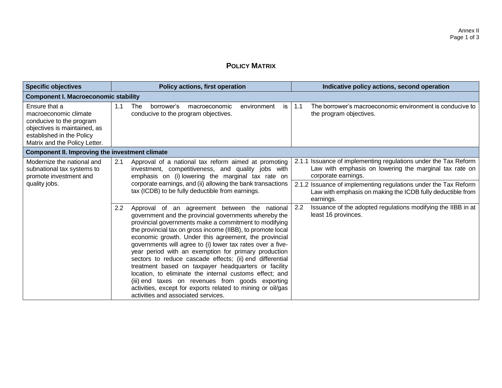# **POLICY MATRIX**

| <b>Specific objectives</b>                                                                                                                                       | Policy actions, first operation                                                                                                                                                                                                                                                                                                                                                                                                                                                                                                                                                                                                                                                                                                                               | Indicative policy actions, second operation                                                                                                      |  |  |  |
|------------------------------------------------------------------------------------------------------------------------------------------------------------------|---------------------------------------------------------------------------------------------------------------------------------------------------------------------------------------------------------------------------------------------------------------------------------------------------------------------------------------------------------------------------------------------------------------------------------------------------------------------------------------------------------------------------------------------------------------------------------------------------------------------------------------------------------------------------------------------------------------------------------------------------------------|--------------------------------------------------------------------------------------------------------------------------------------------------|--|--|--|
| <b>Component I. Macroeconomic stability</b>                                                                                                                      |                                                                                                                                                                                                                                                                                                                                                                                                                                                                                                                                                                                                                                                                                                                                                               |                                                                                                                                                  |  |  |  |
| Ensure that a<br>macroeconomic climate<br>conducive to the program<br>objectives is maintained, as<br>established in the Policy<br>Matrix and the Policy Letter. | <b>The</b><br>1.1<br>borrower's<br>macroeconomic<br>environment<br>is<br>conducive to the program objectives.                                                                                                                                                                                                                                                                                                                                                                                                                                                                                                                                                                                                                                                 | The borrower's macroeconomic environment is conducive to<br>1.1<br>the program objectives.                                                       |  |  |  |
| <b>Component II. Improving the investment climate</b>                                                                                                            |                                                                                                                                                                                                                                                                                                                                                                                                                                                                                                                                                                                                                                                                                                                                                               |                                                                                                                                                  |  |  |  |
| Modernize the national and<br>subnational tax systems to<br>promote investment and                                                                               | Approval of a national tax reform aimed at promoting<br>2.1<br>investment, competitiveness, and quality jobs with<br>emphasis on (i) lowering the marginal tax rate on                                                                                                                                                                                                                                                                                                                                                                                                                                                                                                                                                                                        | 2.1.1 Issuance of implementing regulations under the Tax Reform<br>Law with emphasis on lowering the marginal tax rate on<br>corporate earnings. |  |  |  |
| quality jobs.                                                                                                                                                    | corporate earnings, and (ii) allowing the bank transactions<br>tax (ICDB) to be fully deductible from earnings.                                                                                                                                                                                                                                                                                                                                                                                                                                                                                                                                                                                                                                               | 2.1.2 Issuance of implementing regulations under the Tax Reform<br>Law with emphasis on making the ICDB fully deductible from<br>earnings.       |  |  |  |
|                                                                                                                                                                  | 2.2<br>Approval of an agreement between the national<br>government and the provincial governments whereby the<br>provincial governments make a commitment to modifying<br>the provincial tax on gross income (IIBB), to promote local<br>economic growth. Under this agreement, the provincial<br>governments will agree to (i) lower tax rates over a five-<br>year period with an exemption for primary production<br>sectors to reduce cascade effects; (ii) end differential<br>treatment based on taxpayer headquarters or facility<br>location, to eliminate the internal customs effect; and<br>(iii) end taxes on revenues from goods exporting<br>activities, except for exports related to mining or oil/gas<br>activities and associated services. | Issuance of the adopted regulations modifying the IIBB in at<br>2.2<br>least 16 provinces.                                                       |  |  |  |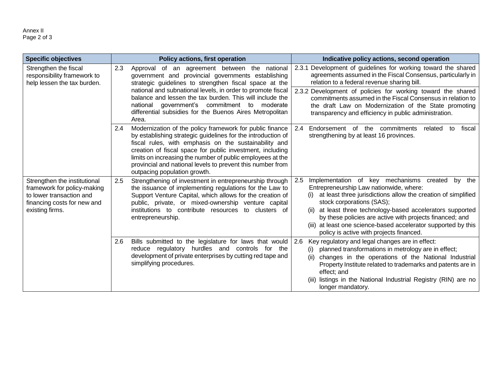| <b>Specific objectives</b>                                                                                                                | Policy actions, first operation                                                                                                                                                                                                                                                                                                                                                                                         | Indicative policy actions, second operation                                                                                                                                                                                                                                                                                                                                                                                                           |
|-------------------------------------------------------------------------------------------------------------------------------------------|-------------------------------------------------------------------------------------------------------------------------------------------------------------------------------------------------------------------------------------------------------------------------------------------------------------------------------------------------------------------------------------------------------------------------|-------------------------------------------------------------------------------------------------------------------------------------------------------------------------------------------------------------------------------------------------------------------------------------------------------------------------------------------------------------------------------------------------------------------------------------------------------|
| Strengthen the fiscal<br>responsibility framework to<br>help lessen the tax burden.                                                       | 2.3<br>Approval of an agreement between the national<br>government and provincial governments establishing<br>strategic guidelines to strengthen fiscal space at the<br>national and subnational levels, in order to promote fiscal<br>balance and lessen the tax burden. This will include the<br>government's commitment to moderate<br>national<br>differential subsidies for the Buenos Aires Metropolitan<br>Area. | Development of guidelines for working toward the shared<br>2.3.1<br>agreements assumed in the Fiscal Consensus, particularly in<br>relation to a federal revenue sharing bill.<br>2.3.2 Development of policies for working toward the shared<br>commitments assumed in the Fiscal Consensus in relation to<br>the draft Law on Modernization of the State promoting<br>transparency and efficiency in public administration.                         |
|                                                                                                                                           | 2.4<br>Modernization of the policy framework for public finance<br>by establishing strategic guidelines for the introduction of<br>fiscal rules, with emphasis on the sustainability and<br>creation of fiscal space for public investment, including<br>limits on increasing the number of public employees at the<br>provincial and national levels to prevent this number from<br>outpacing population growth.       | fiscal<br>2.4<br>Endorsement of the commitments<br>related<br>to<br>strengthening by at least 16 provinces.                                                                                                                                                                                                                                                                                                                                           |
| Strengthen the institutional<br>framework for policy-making<br>to lower transaction and<br>financing costs for new and<br>existing firms. | 2.5<br>Strengthening of investment in entrepreneurship through<br>the issuance of implementing regulations for the Law to<br>Support Venture Capital, which allows for the creation of<br>public, private, or mixed-ownership venture capital<br>institutions to contribute resources to clusters of<br>entrepreneurship.                                                                                               | Implementation of key mechanisms created<br>2.5<br>by the<br>Entrepreneurship Law nationwide, where:<br>at least three jurisdictions allow the creation of simplified<br>(i)<br>stock corporations (SAS);<br>at least three technology-based accelerators supported<br>(ii)<br>by these policies are active with projects financed; and<br>(iii) at least one science-based accelerator supported by this<br>policy is active with projects financed. |
|                                                                                                                                           | Bills submitted to the legislature for laws that would<br>2.6<br>reduce regulatory hurdles and controls for the<br>development of private enterprises by cutting red tape and<br>simplifying procedures.                                                                                                                                                                                                                | Key regulatory and legal changes are in effect:<br>2.6<br>planned transformations in metrology are in effect;<br>(i)<br>changes in the operations of the National Industrial<br>(ii)<br>Property Institute related to trademarks and patents are in<br>effect; and<br>listings in the National Industrial Registry (RIN) are no<br>(iii)<br>longer mandatory.                                                                                         |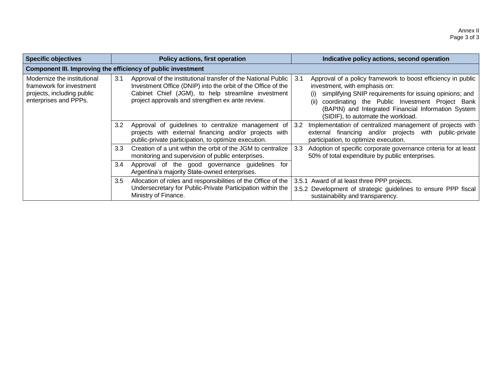| Specific objectives                                                                                            | <b>Policy actions, first operation</b>                                                                                                                                                                                                         | Indicative policy actions, second operation                                                                                                                                                                                                                                                                            |  |  |
|----------------------------------------------------------------------------------------------------------------|------------------------------------------------------------------------------------------------------------------------------------------------------------------------------------------------------------------------------------------------|------------------------------------------------------------------------------------------------------------------------------------------------------------------------------------------------------------------------------------------------------------------------------------------------------------------------|--|--|
|                                                                                                                | Component III. Improving the efficiency of public investment                                                                                                                                                                                   |                                                                                                                                                                                                                                                                                                                        |  |  |
| Modernize the institutional<br>framework for investment<br>projects, including public<br>enterprises and PPPs. | 3.1<br>Approval of the institutional transfer of the National Public<br>Investment Office (DNIP) into the orbit of the Office of the<br>Cabinet Chief (JGM), to help streamline investment<br>project approvals and strengthen ex ante review. | Approval of a policy framework to boost efficiency in public<br>3.1<br>investment, with emphasis on:<br>simplifying SNIP requirements for issuing opinions; and<br>(i)<br>coordinating the Public Investment Project Bank<br>(BAPIN) and Integrated Financial Information System<br>(SIDIF), to automate the workload. |  |  |
|                                                                                                                | 3.2<br>Approval of guidelines to centralize management of 3.2<br>projects with external financing and/or projects with<br>public-private participation, to optimize execution.                                                                 | Implementation of centralized management of projects with<br>external financing and/or projects with public-private<br>participation, to optimize execution.                                                                                                                                                           |  |  |
|                                                                                                                | Creation of a unit within the orbit of the JGM to centralize<br>3.3 <sub>1</sub><br>monitoring and supervision of public enterprises.                                                                                                          | Adoption of specific corporate governance criteria for at least<br>3.3<br>50% of total expenditure by public enterprises.                                                                                                                                                                                              |  |  |
|                                                                                                                | 3.4<br>Approval of the good governance guidelines for<br>Argentina's majority State-owned enterprises.                                                                                                                                         |                                                                                                                                                                                                                                                                                                                        |  |  |
|                                                                                                                | Allocation of roles and responsibilities of the Office of the<br>3.5<br>Undersecretary for Public-Private Participation within the<br>Ministry of Finance.                                                                                     | 3.5.1 Award of at least three PPP projects.<br>3.5.2 Development of strategic guidelines to ensure PPP fiscal<br>sustainability and transparency.                                                                                                                                                                      |  |  |